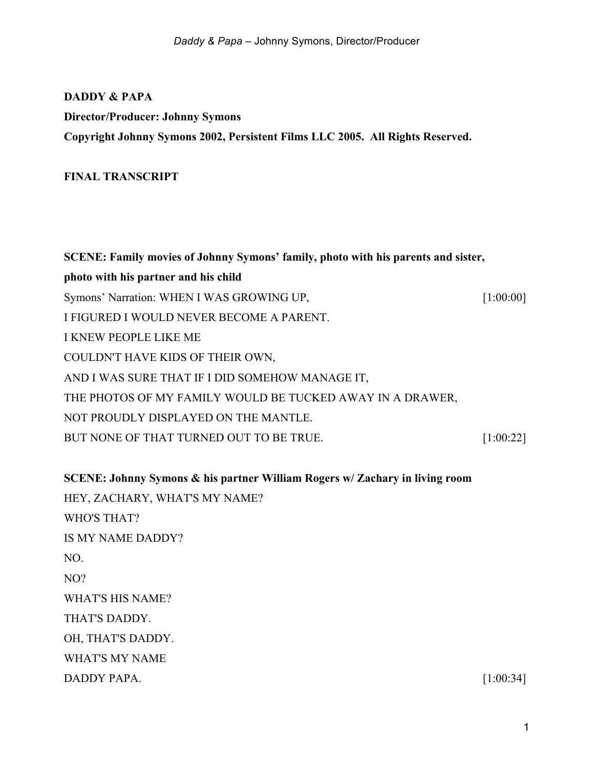# **DADDY & PAPA Director/Producer: Johnny Symons Copyright Johnny Symons 2002, Persistent Films LLC 2005. All Rights Reserved.**

# **FINAL TRANSCRIPT**

**SCENE: Family movies of Johnny Symons' family, photo with his parents and sister, photo with his partner and his child** Symons' Narration: WHEN I WAS GROWING UP, [1:00:00] I FIGURED I WOULD NEVER BECOME A PARENT. I KNEW PEOPLE LIKE ME COULDN'T HAVE KIDS OF THEIR OWN, AND I WAS SURE THAT IF I DID SOMEHOW MANAGE IT, THE PHOTOS OF MY FAMILY WOULD BE TUCKED AWAY IN A DRAWER, NOT PROUDLY DISPLAYED ON THE MANTLE. BUT NONE OF THAT TURNED OUT TO BE TRUE. [1:00:22]

**SCENE: Johnny Symons & his partner William Rogers w/ Zachary in living room** HEY, ZACHARY, WHAT'S MY NAME? WHO'S THAT? IS MY NAME DADDY? NO. NO? WHAT'S HIS NAME? THAT'S DADDY. OH, THAT'S DADDY. WHAT'S MY NAME DADDY PAPA. [1:00:34]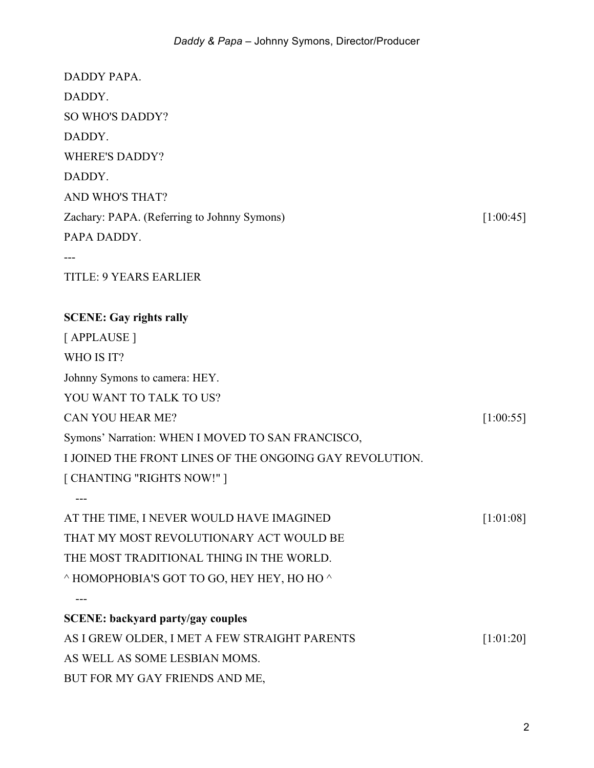| DADDY PAPA.                                                |           |
|------------------------------------------------------------|-----------|
| DADDY.                                                     |           |
| SO WHO'S DADDY?                                            |           |
| DADDY.                                                     |           |
| <b>WHERE'S DADDY?</b>                                      |           |
| DADDY.                                                     |           |
| AND WHO'S THAT?                                            |           |
| Zachary: PAPA. (Referring to Johnny Symons)                | [1:00:45] |
| PAPA DADDY.                                                |           |
|                                                            |           |
| <b>TITLE: 9 YEARS EARLIER</b>                              |           |
|                                                            |           |
| <b>SCENE: Gay rights rally</b>                             |           |
| [ APPLAUSE ]                                               |           |
| WHO IS IT?                                                 |           |
| Johnny Symons to camera: HEY.                              |           |
| YOU WANT TO TALK TO US?                                    |           |
| CAN YOU HEAR ME?                                           | [1:00:55] |
| Symons' Narration: WHEN I MOVED TO SAN FRANCISCO,          |           |
| I JOINED THE FRONT LINES OF THE ONGOING GAY REVOLUTION.    |           |
| [ CHANTING "RIGHTS NOW!" ]                                 |           |
|                                                            |           |
| AT THE TIME, I NEVER WOULD HAVE IMAGINED                   | [1:01:08] |
| THAT MY MOST REVOLUTIONARY ACT WOULD BE                    |           |
| THE MOST TRADITIONAL THING IN THE WORLD.                   |           |
| $^\wedge$ HOMOPHOBIA'S GOT TO GO, HEY HEY, HO HO $^\wedge$ |           |
|                                                            |           |
| <b>SCENE: backyard party/gay couples</b>                   |           |
| AS I GREW OLDER, I MET A FEW STRAIGHT PARENTS              | [1:01:20] |
| AS WELL AS SOME LESBIAN MOMS.                              |           |
| BUT FOR MY GAY FRIENDS AND ME,                             |           |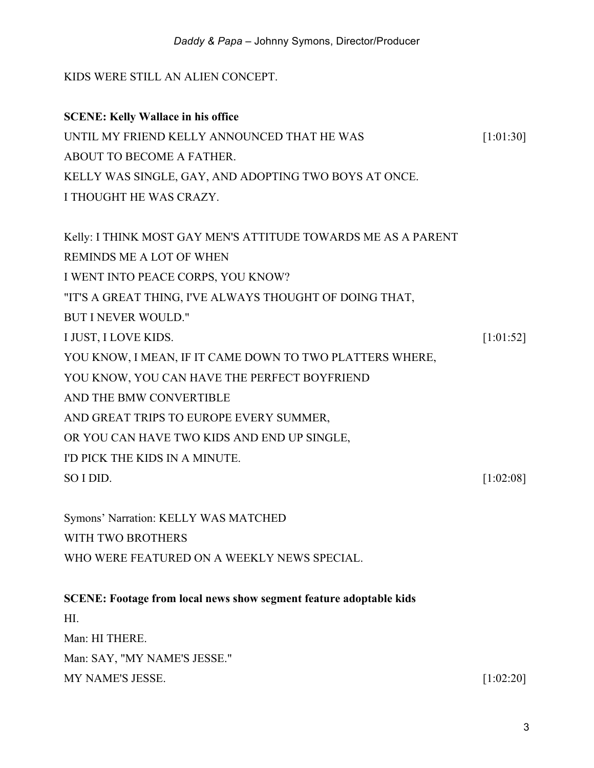# KIDS WERE STILL AN ALIEN CONCEPT.

| <b>SCENE: Kelly Wallace in his office</b>                                 |           |
|---------------------------------------------------------------------------|-----------|
| UNTIL MY FRIEND KELLY ANNOUNCED THAT HE WAS                               | [1:01:30] |
| ABOUT TO BECOME A FATHER.                                                 |           |
| KELLY WAS SINGLE, GAY, AND ADOPTING TWO BOYS AT ONCE.                     |           |
| I THOUGHT HE WAS CRAZY.                                                   |           |
| Kelly: I THINK MOST GAY MEN'S ATTITUDE TOWARDS ME AS A PARENT             |           |
| REMINDS ME A LOT OF WHEN                                                  |           |
| I WENT INTO PEACE CORPS, YOU KNOW?                                        |           |
| "IT'S A GREAT THING, I'VE ALWAYS THOUGHT OF DOING THAT,                   |           |
| <b>BUT I NEVER WOULD."</b>                                                |           |
| I JUST, I LOVE KIDS.                                                      | [1:01:52] |
| YOU KNOW, I MEAN, IF IT CAME DOWN TO TWO PLATTERS WHERE,                  |           |
| YOU KNOW, YOU CAN HAVE THE PERFECT BOYFRIEND                              |           |
| AND THE BMW CONVERTIBLE                                                   |           |
| AND GREAT TRIPS TO EUROPE EVERY SUMMER,                                   |           |
| OR YOU CAN HAVE TWO KIDS AND END UP SINGLE,                               |           |
| I'D PICK THE KIDS IN A MINUTE.                                            |           |
| SO I DID.                                                                 | [1:02:08] |
| Symons' Narration: KELLY WAS MATCHED                                      |           |
| WITH TWO BROTHERS                                                         |           |
| WHO WERE FEATURED ON A WEEKLY NEWS SPECIAL.                               |           |
| <b>SCENE: Footage from local news show segment feature adoptable kids</b> |           |
| HI.                                                                       |           |
| Man: HI THERE.                                                            |           |
|                                                                           |           |

Man: SAY, "MY NAME'S JESSE."

MY NAME'S JESSE. [1:02:20]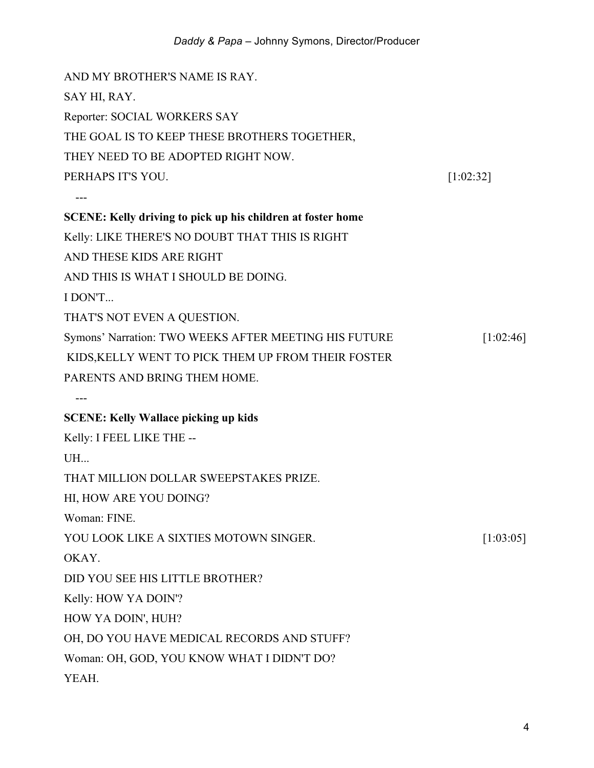| AND MY BROTHER'S NAME IS RAY.                                      |           |
|--------------------------------------------------------------------|-----------|
| SAY HI, RAY.                                                       |           |
| Reporter: SOCIAL WORKERS SAY                                       |           |
| THE GOAL IS TO KEEP THESE BROTHERS TOGETHER,                       |           |
| THEY NEED TO BE ADOPTED RIGHT NOW.                                 |           |
| PERHAPS IT'S YOU.                                                  | [1:02:32] |
|                                                                    |           |
| <b>SCENE: Kelly driving to pick up his children at foster home</b> |           |
| Kelly: LIKE THERE'S NO DOUBT THAT THIS IS RIGHT                    |           |
| AND THESE KIDS ARE RIGHT                                           |           |
| AND THIS IS WHAT I SHOULD BE DOING.                                |           |
| I DON'T                                                            |           |
| THAT'S NOT EVEN A QUESTION.                                        |           |
| Symons' Narration: TWO WEEKS AFTER MEETING HIS FUTURE              | [1:02:46] |
| KIDS, KELLY WENT TO PICK THEM UP FROM THEIR FOSTER                 |           |
| PARENTS AND BRING THEM HOME.                                       |           |
|                                                                    |           |
| <b>SCENE: Kelly Wallace picking up kids</b>                        |           |
| Kelly: I FEEL LIKE THE --                                          |           |
| <b>UH</b>                                                          |           |
| THAT MILLION DOLLAR SWEEPSTAKES PRIZE.                             |           |
| HI, HOW ARE YOU DOING?                                             |           |
| Woman: FINE.                                                       |           |
| YOU LOOK LIKE A SIXTIES MOTOWN SINGER.                             | [1:03:05] |
| OKAY.                                                              |           |
| DID YOU SEE HIS LITTLE BROTHER?                                    |           |
| Kelly: HOW YA DOIN'?                                               |           |
| HOW YA DOIN', HUH?                                                 |           |
| OH, DO YOU HAVE MEDICAL RECORDS AND STUFF?                         |           |
| Woman: OH, GOD, YOU KNOW WHAT I DIDN'T DO?                         |           |
| YEAH.                                                              |           |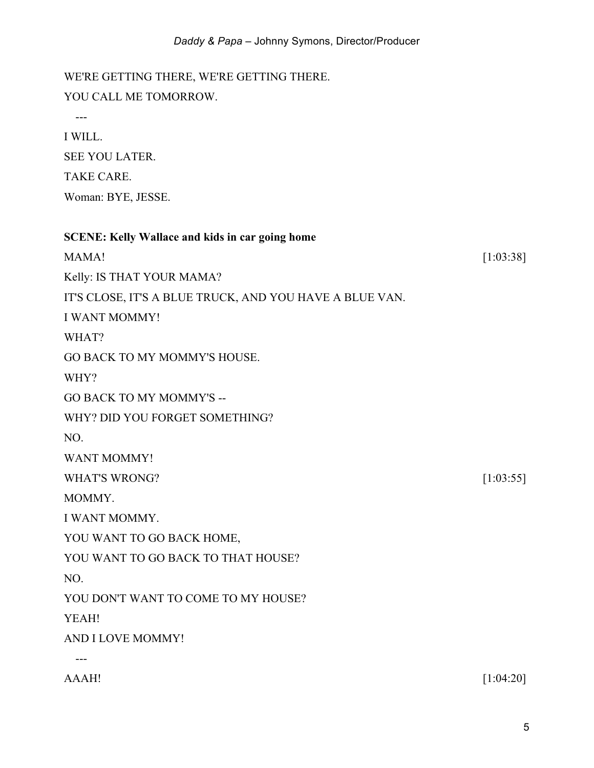WE'RE GETTING THERE, WE'RE GETTING THERE. YOU CALL ME TOMORROW.

| I WILL.               |  |
|-----------------------|--|
| <b>SEE YOU LATER.</b> |  |
| TAKE CARE.            |  |
| Woman: BYE, JESSE.    |  |

| <b>SCENE: Kelly Wallace and kids in car going home</b>  |           |
|---------------------------------------------------------|-----------|
| MAMA!                                                   | [1:03:38] |
| Kelly: IS THAT YOUR MAMA?                               |           |
| IT'S CLOSE, IT'S A BLUE TRUCK, AND YOU HAVE A BLUE VAN. |           |
| <b>I WANT MOMMY!</b>                                    |           |
| WHAT?                                                   |           |
| GO BACK TO MY MOMMY'S HOUSE.                            |           |
| WHY?                                                    |           |
| <b>GO BACK TO MY MOMMY'S --</b>                         |           |
| WHY? DID YOU FORGET SOMETHING?                          |           |
| NO.                                                     |           |
| <b>WANT MOMMY!</b>                                      |           |
| <b>WHAT'S WRONG?</b>                                    | [1:03:55] |
| MOMMY.                                                  |           |
| I WANT MOMMY.                                           |           |
| YOU WANT TO GO BACK HOME,                               |           |
| YOU WANT TO GO BACK TO THAT HOUSE?                      |           |
| NO.                                                     |           |
| YOU DON'T WANT TO COME TO MY HOUSE?                     |           |
| YEAH!                                                   |           |
| <b>AND I LOVE MOMMY!</b>                                |           |
|                                                         |           |
| AAAH!                                                   | [1:04:20] |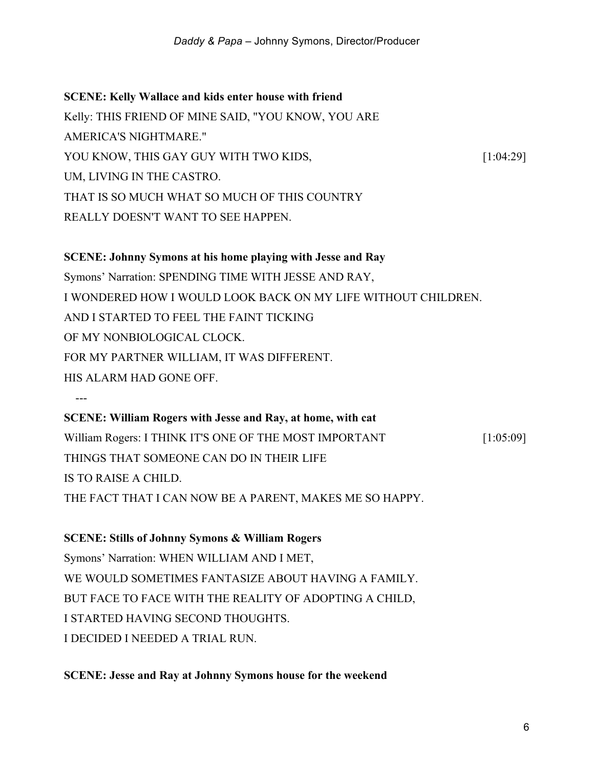**SCENE: Kelly Wallace and kids enter house with friend** Kelly: THIS FRIEND OF MINE SAID, "YOU KNOW, YOU ARE AMERICA'S NIGHTMARE." YOU KNOW, THIS GAY GUY WITH TWO KIDS, [1:04:29] UM, LIVING IN THE CASTRO. THAT IS SO MUCH WHAT SO MUCH OF THIS COUNTRY REALLY DOESN'T WANT TO SEE HAPPEN.

## **SCENE: Johnny Symons at his home playing with Jesse and Ray**

---

Symons' Narration: SPENDING TIME WITH JESSE AND RAY, I WONDERED HOW I WOULD LOOK BACK ON MY LIFE WITHOUT CHILDREN. AND I STARTED TO FEEL THE FAINT TICKING OF MY NONBIOLOGICAL CLOCK. FOR MY PARTNER WILLIAM, IT WAS DIFFERENT. HIS ALARM HAD GONE OFF.

# **SCENE: William Rogers with Jesse and Ray, at home, with cat** William Rogers: I THINK IT'S ONE OF THE MOST IMPORTANT [1:05:09] THINGS THAT SOMEONE CAN DO IN THEIR LIFE IS TO RAISE A CHILD. THE FACT THAT I CAN NOW BE A PARENT, MAKES ME SO HAPPY.

**SCENE: Stills of Johnny Symons & William Rogers** Symons' Narration: WHEN WILLIAM AND I MET, WE WOULD SOMETIMES FANTASIZE ABOUT HAVING A FAMILY. BUT FACE TO FACE WITH THE REALITY OF ADOPTING A CHILD, I STARTED HAVING SECOND THOUGHTS. I DECIDED I NEEDED A TRIAL RUN.

**SCENE: Jesse and Ray at Johnny Symons house for the weekend**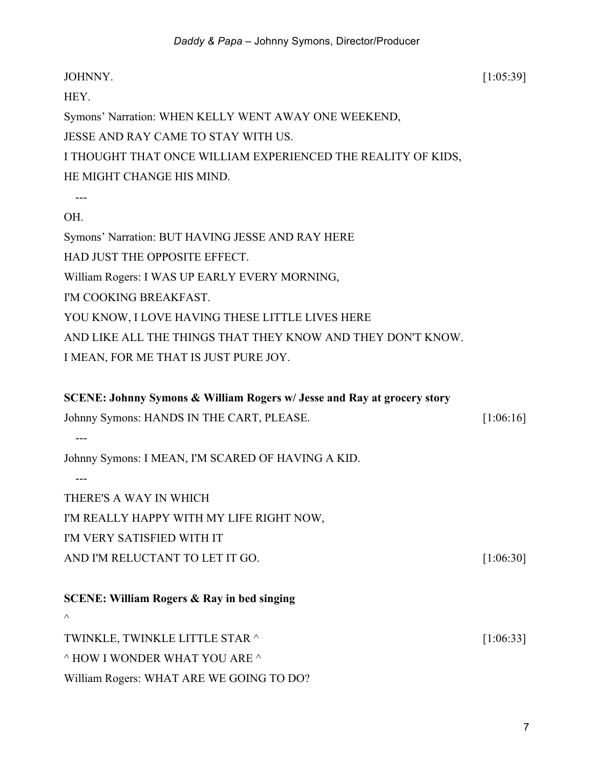| JOHNNY. | [1:05:39] |
|---------|-----------|
|---------|-----------|

HEY.

Symons' Narration: WHEN KELLY WENT AWAY ONE WEEKEND,

JESSE AND RAY CAME TO STAY WITH US.

I THOUGHT THAT ONCE WILLIAM EXPERIENCED THE REALITY OF KIDS, HE MIGHT CHANGE HIS MIND.

---

OH.

Symons' Narration: BUT HAVING JESSE AND RAY HERE

HAD JUST THE OPPOSITE EFFECT.

William Rogers: I WAS UP EARLY EVERY MORNING,

I'M COOKING BREAKFAST.

YOU KNOW, I LOVE HAVING THESE LITTLE LIVES HERE

AND LIKE ALL THE THINGS THAT THEY KNOW AND THEY DON'T KNOW.

I MEAN, FOR ME THAT IS JUST PURE JOY.

| <b>SCENE: Johnny Symons &amp; William Rogers w/ Jesse and Ray at grocery story</b> |           |
|------------------------------------------------------------------------------------|-----------|
| Johnny Symons: HANDS IN THE CART, PLEASE.                                          | [1:06:16] |
|                                                                                    |           |
| Johnny Symons: I MEAN, I'M SCARED OF HAVING A KID.                                 |           |
|                                                                                    |           |
| THERE'S A WAY IN WHICH                                                             |           |
| I'M REALLY HAPPY WITH MY LIFE RIGHT NOW,                                           |           |
| I'M VERY SATISFIED WITH IT                                                         |           |
| AND I'M RELUCTANT TO LET IT GO.                                                    | [1:06:30] |
| <b>SCENE: William Rogers &amp; Ray in bed singing</b>                              |           |
| $\wedge$                                                                           |           |
| TWINKLE, TWINKLE LITTLE STAR ^                                                     | [1:06:33] |
| $^{\wedge}$ HOW I WONDER WHAT YOU ARE $^{\wedge}$                                  |           |
| William Rogers: WHAT ARE WE GOING TO DO?                                           |           |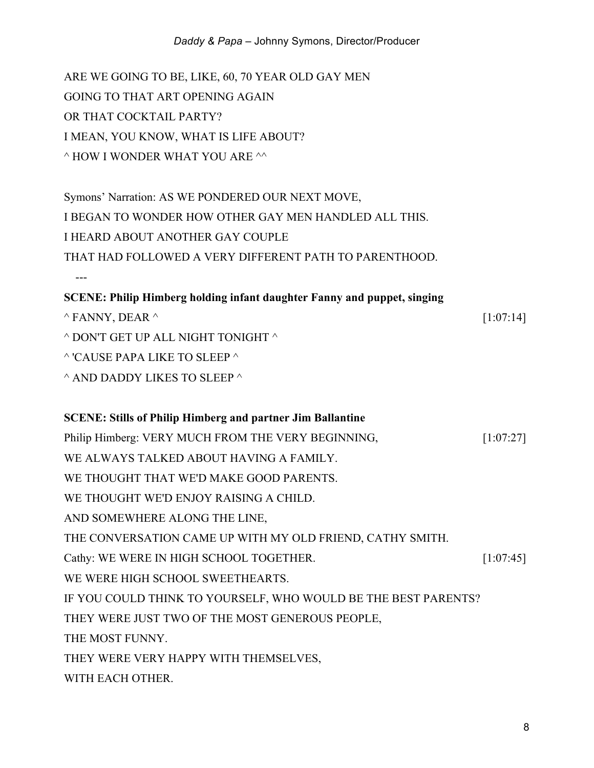ARE WE GOING TO BE, LIKE, 60, 70 YEAR OLD GAY MEN GOING TO THAT ART OPENING AGAIN OR THAT COCKTAIL PARTY? I MEAN, YOU KNOW, WHAT IS LIFE ABOUT?  $^{\wedge}$  HOW I WONDER WHAT YOU ARE  $^{\wedge\wedge}$ 

Symons' Narration: AS WE PONDERED OUR NEXT MOVE, I BEGAN TO WONDER HOW OTHER GAY MEN HANDLED ALL THIS. I HEARD ABOUT ANOTHER GAY COUPLE THAT HAD FOLLOWED A VERY DIFFERENT PATH TO PARENTHOOD.

---

## **SCENE: Philip Himberg holding infant daughter Fanny and puppet, singing**

| $^{\wedge}$ FANNY, DEAR $^{\wedge}$              | [1:07:14] |
|--------------------------------------------------|-----------|
| $\land$ DON'T GET UP ALL NIGHT TONIGHT $\land$   |           |
| $\wedge$ 'CAUSE PAPA LIKE TO SLEEP $\wedge$      |           |
| $^{\wedge}$ AND DADDY LIKES TO SLEEP $^{\wedge}$ |           |

## **SCENE: Stills of Philip Himberg and partner Jim Ballantine**

Philip Himberg: VERY MUCH FROM THE VERY BEGINNING, [1:07:27] WE ALWAYS TALKED ABOUT HAVING A FAMILY. WE THOUGHT THAT WE'D MAKE GOOD PARENTS. WE THOUGHT WE'D ENJOY RAISING A CHILD. AND SOMEWHERE ALONG THE LINE, THE CONVERSATION CAME UP WITH MY OLD FRIEND, CATHY SMITH. Cathy: WE WERE IN HIGH SCHOOL TOGETHER. [1:07:45] WE WERE HIGH SCHOOL SWEETHEARTS. IF YOU COULD THINK TO YOURSELF, WHO WOULD BE THE BEST PARENTS? THEY WERE JUST TWO OF THE MOST GENEROUS PEOPLE, THE MOST FUNNY. THEY WERE VERY HAPPY WITH THEMSELVES, WITH EACH OTHER.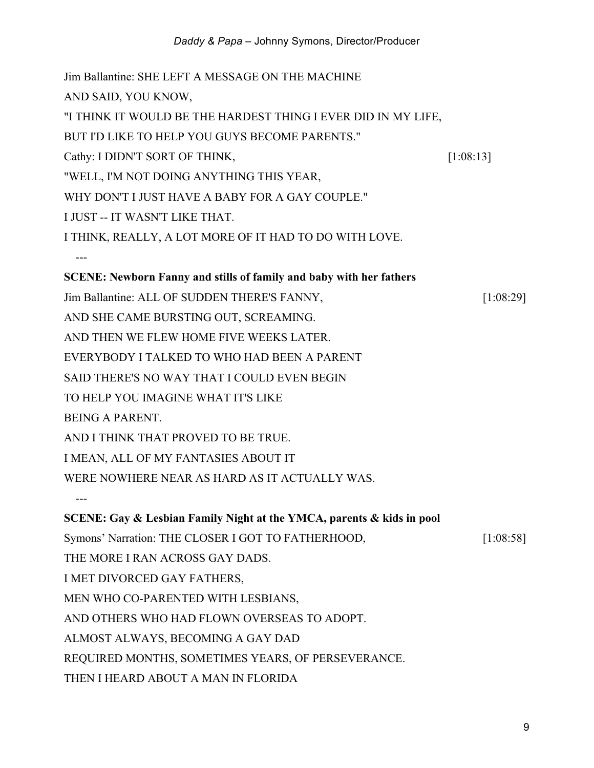Jim Ballantine: SHE LEFT A MESSAGE ON THE MACHINE AND SAID, YOU KNOW, "I THINK IT WOULD BE THE HARDEST THING I EVER DID IN MY LIFE, BUT I'D LIKE TO HELP YOU GUYS BECOME PARENTS." Cathy: I DIDN'T SORT OF THINK, [1:08:13] "WELL, I'M NOT DOING ANYTHING THIS YEAR, WHY DON'T I JUST HAVE A BABY FOR A GAY COUPLE." I JUST -- IT WASN'T LIKE THAT. I THINK, REALLY, A LOT MORE OF IT HAD TO DO WITH LOVE. --- **SCENE: Newborn Fanny and stills of family and baby with her fathers** Jim Ballantine: ALL OF SUDDEN THERE'S FANNY, [1:08:29] AND SHE CAME BURSTING OUT, SCREAMING. AND THEN WE FLEW HOME FIVE WEEKS LATER. EVERYBODY I TALKED TO WHO HAD BEEN A PARENT SAID THERE'S NO WAY THAT I COULD EVEN BEGIN TO HELP YOU IMAGINE WHAT IT'S LIKE BEING A PARENT. AND I THINK THAT PROVED TO BE TRUE. I MEAN, ALL OF MY FANTASIES ABOUT IT WERE NOWHERE NEAR AS HARD AS IT ACTUALLY WAS. --- **SCENE: Gay & Lesbian Family Night at the YMCA, parents & kids in pool** Symons' Narration: THE CLOSER I GOT TO FATHERHOOD, [1:08:58] THE MORE I RAN ACROSS GAY DADS. I MET DIVORCED GAY FATHERS, MEN WHO CO-PARENTED WITH LESBIANS, AND OTHERS WHO HAD FLOWN OVERSEAS TO ADOPT. ALMOST ALWAYS, BECOMING A GAY DAD REQUIRED MONTHS, SOMETIMES YEARS, OF PERSEVERANCE. THEN I HEARD ABOUT A MAN IN FLORIDA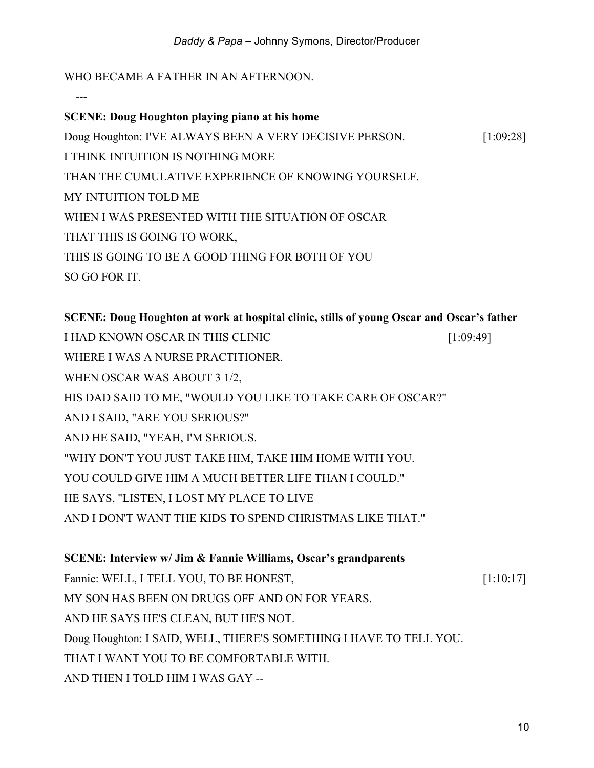## WHO BECAME A FATHER IN AN AFTERNOON.

---

**SCENE: Doug Houghton playing piano at his home** Doug Houghton: I'VE ALWAYS BEEN A VERY DECISIVE PERSON. [1:09:28] I THINK INTUITION IS NOTHING MORE THAN THE CUMULATIVE EXPERIENCE OF KNOWING YOURSELF. MY INTUITION TOLD ME WHEN I WAS PRESENTED WITH THE SITUATION OF OSCAR THAT THIS IS GOING TO WORK, THIS IS GOING TO BE A GOOD THING FOR BOTH OF YOU SO GO FOR IT.

**SCENE: Doug Houghton at work at hospital clinic, stills of young Oscar and Oscar's father** I HAD KNOWN OSCAR IN THIS CLINIC [1:09:49] WHERE I WAS A NURSE PRACTITIONER. WHEN OSCAR WAS ABOUT 3 1/2, HIS DAD SAID TO ME, "WOULD YOU LIKE TO TAKE CARE OF OSCAR?" AND I SAID, "ARE YOU SERIOUS?" AND HE SAID, "YEAH, I'M SERIOUS. "WHY DON'T YOU JUST TAKE HIM, TAKE HIM HOME WITH YOU. YOU COULD GIVE HIM A MUCH BETTER LIFE THAN I COULD." HE SAYS, "LISTEN, I LOST MY PLACE TO LIVE AND I DON'T WANT THE KIDS TO SPEND CHRISTMAS LIKE THAT." **SCENE: Interview w/ Jim & Fannie Williams, Oscar's grandparents** Fannie: WELL, I TELL YOU, TO BE HONEST, [1:10:17]

MY SON HAS BEEN ON DRUGS OFF AND ON FOR YEARS. AND HE SAYS HE'S CLEAN, BUT HE'S NOT. Doug Houghton: I SAID, WELL, THERE'S SOMETHING I HAVE TO TELL YOU. THAT I WANT YOU TO BE COMFORTABLE WITH.

AND THEN I TOLD HIM I WAS GAY --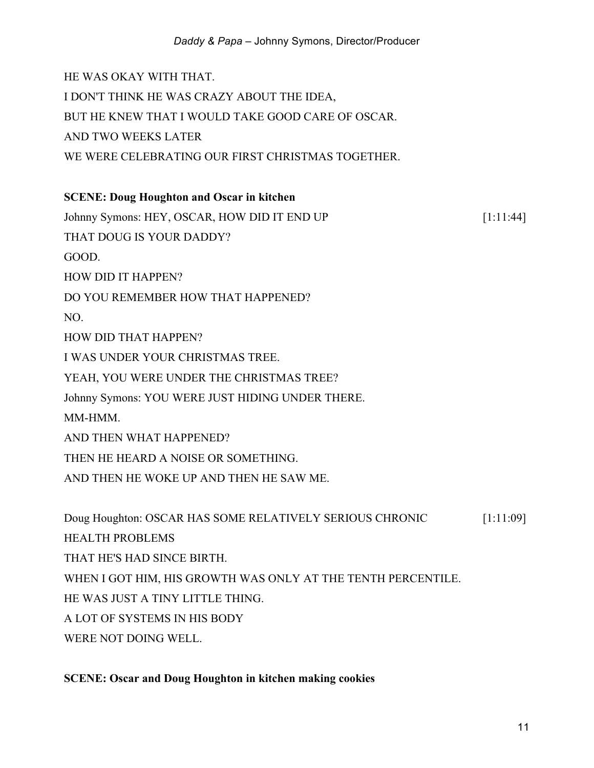HE WAS OKAY WITH THAT. I DON'T THINK HE WAS CRAZY ABOUT THE IDEA, BUT HE KNEW THAT I WOULD TAKE GOOD CARE OF OSCAR. AND TWO WEEKS LATER WE WERE CELEBRATING OUR FIRST CHRISTMAS TOGETHER.

## **SCENE: Doug Houghton and Oscar in kitchen**

Johnny Symons: HEY, OSCAR, HOW DID IT END UP [1:11:44] THAT DOUG IS YOUR DADDY? GOOD. HOW DID IT HAPPEN? DO YOU REMEMBER HOW THAT HAPPENED? NO. HOW DID THAT HAPPEN? I WAS UNDER YOUR CHRISTMAS TREE. YEAH, YOU WERE UNDER THE CHRISTMAS TREE? Johnny Symons: YOU WERE JUST HIDING UNDER THERE. MM-HMM. AND THEN WHAT HAPPENED? THEN HE HEARD A NOISE OR SOMETHING. AND THEN HE WOKE UP AND THEN HE SAW ME.

Doug Houghton: OSCAR HAS SOME RELATIVELY SERIOUS CHRONIC [1:11:09] HEALTH PROBLEMS THAT HE'S HAD SINCE BIRTH. WHEN I GOT HIM, HIS GROWTH WAS ONLY AT THE TENTH PERCENTILE. HE WAS JUST A TINY LITTLE THING. A LOT OF SYSTEMS IN HIS BODY WERE NOT DOING WELL.

# **SCENE: Oscar and Doug Houghton in kitchen making cookies**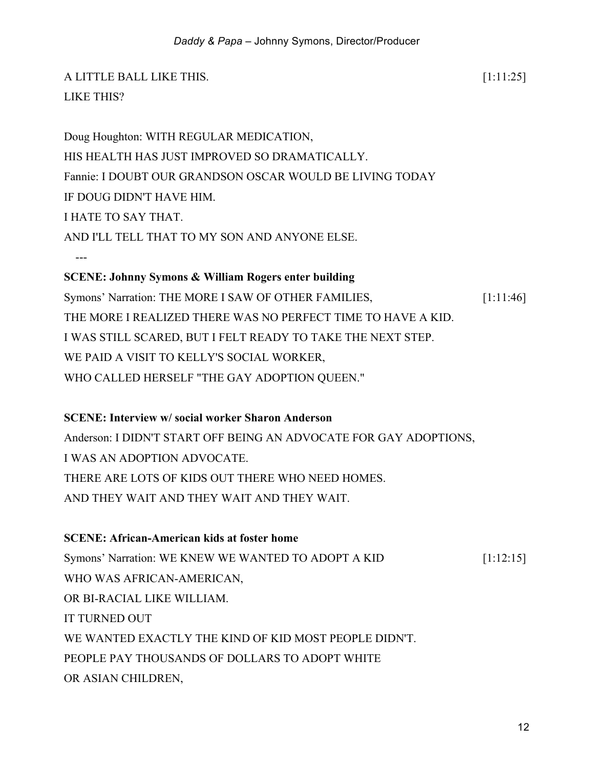A LITTLE BALL LIKE THIS. [1:11:25] LIKE THIS?

Doug Houghton: WITH REGULAR MEDICATION, HIS HEALTH HAS JUST IMPROVED SO DRAMATICALLY. Fannie: I DOUBT OUR GRANDSON OSCAR WOULD BE LIVING TODAY IF DOUG DIDN'T HAVE HIM. I HATE TO SAY THAT. AND I'LL TELL THAT TO MY SON AND ANYONE ELSE. --- **SCENE: Johnny Symons & William Rogers enter building** Symons' Narration: THE MORE I SAW OF OTHER FAMILIES, [1:11:46] THE MORE I REALIZED THERE WAS NO PERFECT TIME TO HAVE A KID. I WAS STILL SCARED, BUT I FELT READY TO TAKE THE NEXT STEP. WE PAID A VISIT TO KELLY'S SOCIAL WORKER, WHO CALLED HERSELF "THE GAY ADOPTION QUEEN."

# **SCENE: Interview w/ social worker Sharon Anderson**

Anderson: I DIDN'T START OFF BEING AN ADVOCATE FOR GAY ADOPTIONS, I WAS AN ADOPTION ADVOCATE. THERE ARE LOTS OF KIDS OUT THERE WHO NEED HOMES. AND THEY WAIT AND THEY WAIT AND THEY WAIT.

**SCENE: African-American kids at foster home** Symons' Narration: WE KNEW WE WANTED TO ADOPT A KID [1:12:15] WHO WAS AFRICAN-AMERICAN, OR BI-RACIAL LIKE WILLIAM. IT TURNED OUT WE WANTED EXACTLY THE KIND OF KID MOST PEOPLE DIDN'T. PEOPLE PAY THOUSANDS OF DOLLARS TO ADOPT WHITE OR ASIAN CHILDREN,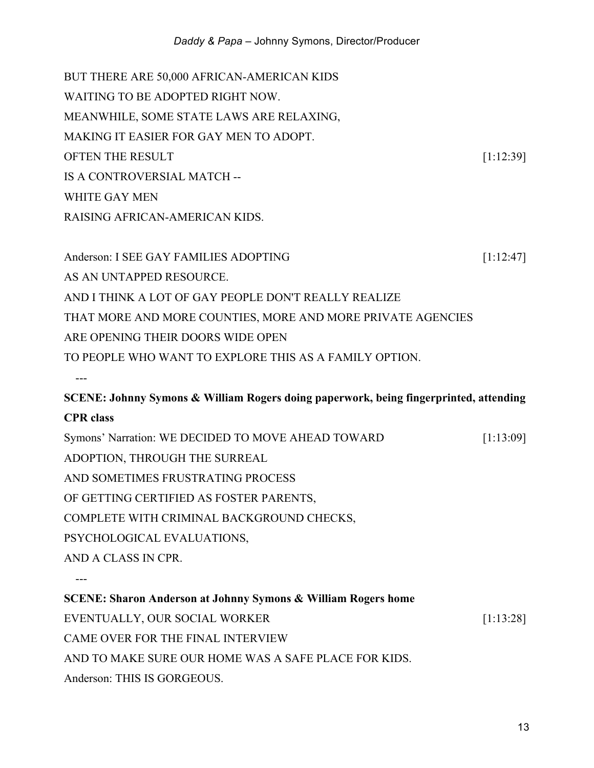BUT THERE ARE 50,000 AFRICAN-AMERICAN KIDS WAITING TO BE ADOPTED RIGHT NOW. MEANWHILE, SOME STATE LAWS ARE RELAXING, MAKING IT EASIER FOR GAY MEN TO ADOPT. OFTEN THE RESULT [1:12:39] IS A CONTROVERSIAL MATCH -- WHITE GAY MEN RAISING AFRICAN-AMERICAN KIDS. Anderson: I SEE GAY FAMILIES ADOPTING [1:12:47] AS AN UNTAPPED RESOURCE. AND I THINK A LOT OF GAY PEOPLE DON'T REALLY REALIZE THAT MORE AND MORE COUNTIES, MORE AND MORE PRIVATE AGENCIES ARE OPENING THEIR DOORS WIDE OPEN TO PEOPLE WHO WANT TO EXPLORE THIS AS A FAMILY OPTION. --- **SCENE: Johnny Symons & William Rogers doing paperwork, being fingerprinted, attending CPR class** Symons' Narration: WE DECIDED TO MOVE AHEAD TOWARD [1:13:09] ADOPTION, THROUGH THE SURREAL AND SOMETIMES FRUSTRATING PROCESS OF GETTING CERTIFIED AS FOSTER PARENTS, COMPLETE WITH CRIMINAL BACKGROUND CHECKS, PSYCHOLOGICAL EVALUATIONS, AND A CLASS IN CPR. --- **SCENE: Sharon Anderson at Johnny Symons & William Rogers home**

EVENTUALLY, OUR SOCIAL WORKER [1:13:28] CAME OVER FOR THE FINAL INTERVIEW AND TO MAKE SURE OUR HOME WAS A SAFE PLACE FOR KIDS. Anderson: THIS IS GORGEOUS.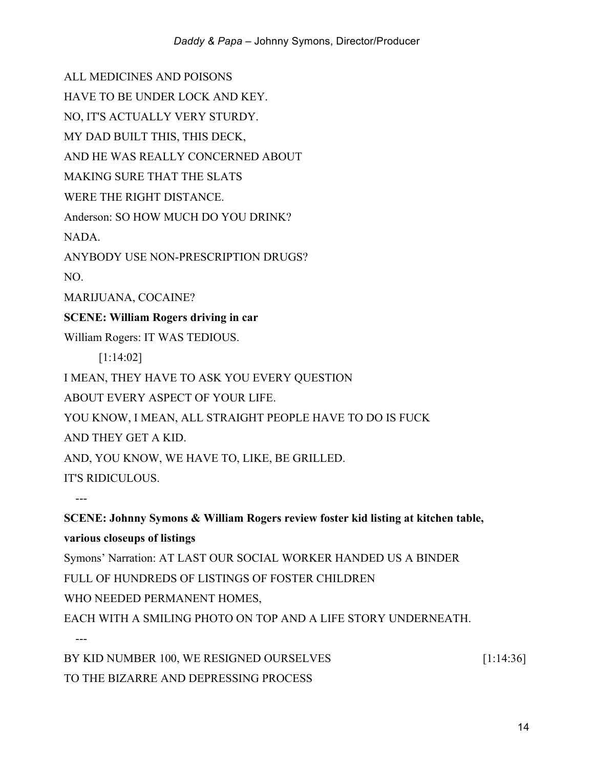ALL MEDICINES AND POISONS

HAVE TO BE UNDER LOCK AND KEY.

NO, IT'S ACTUALLY VERY STURDY.

MY DAD BUILT THIS, THIS DECK,

AND HE WAS REALLY CONCERNED ABOUT

MAKING SURE THAT THE SLATS

WERE THE RIGHT DISTANCE.

Anderson: SO HOW MUCH DO YOU DRINK?

NADA.

ANYBODY USE NON-PRESCRIPTION DRUGS?

NO.

MARIJUANA, COCAINE?

## **SCENE: William Rogers driving in car**

William Rogers: IT WAS TEDIOUS.

[1:14:02]

I MEAN, THEY HAVE TO ASK YOU EVERY QUESTION

ABOUT EVERY ASPECT OF YOUR LIFE.

YOU KNOW, I MEAN, ALL STRAIGHT PEOPLE HAVE TO DO IS FUCK

AND THEY GET A KID.

AND, YOU KNOW, WE HAVE TO, LIKE, BE GRILLED.

IT'S RIDICULOUS.

---

---

**SCENE: Johnny Symons & William Rogers review foster kid listing at kitchen table, various closeups of listings**

Symons' Narration: AT LAST OUR SOCIAL WORKER HANDED US A BINDER

FULL OF HUNDREDS OF LISTINGS OF FOSTER CHILDREN

WHO NEEDED PERMANENT HOMES,

EACH WITH A SMILING PHOTO ON TOP AND A LIFE STORY UNDERNEATH.

BY KID NUMBER 100, WE RESIGNED OURSELVES [1:14:36] TO THE BIZARRE AND DEPRESSING PROCESS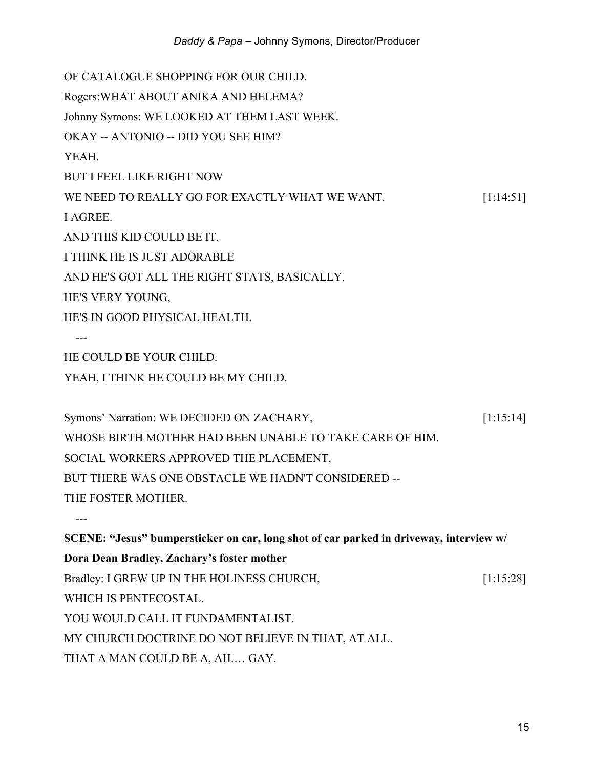OF CATALOGUE SHOPPING FOR OUR CHILD. Rogers:WHAT ABOUT ANIKA AND HELEMA? Johnny Symons: WE LOOKED AT THEM LAST WEEK. OKAY -- ANTONIO -- DID YOU SEE HIM? YEAH. BUT I FEEL LIKE RIGHT NOW WE NEED TO REALLY GO FOR EXACTLY WHAT WE WANT. [1:14:51] I AGREE. AND THIS KID COULD BE IT. I THINK HE IS JUST ADORABLE AND HE'S GOT ALL THE RIGHT STATS, BASICALLY. HE'S VERY YOUNG, HE'S IN GOOD PHYSICAL HEALTH. --- HE COULD BE YOUR CHILD. YEAH, I THINK HE COULD BE MY CHILD. Symons' Narration: WE DECIDED ON ZACHARY, [1:15:14] WHOSE BIRTH MOTHER HAD BEEN UNABLE TO TAKE CARE OF HIM. SOCIAL WORKERS APPROVED THE PLACEMENT, BUT THERE WAS ONE OBSTACLE WE HADN'T CONSIDERED -- THE FOSTER MOTHER. --- **SCENE: "Jesus" bumpersticker on car, long shot of car parked in driveway, interview w/ Dora Dean Bradley, Zachary's foster mother** Bradley: I GREW UP IN THE HOLINESS CHURCH, [1:15:28] WHICH IS PENTECOSTAL. YOU WOULD CALL IT FUNDAMENTALIST. MY CHURCH DOCTRINE DO NOT BELIEVE IN THAT, AT ALL. THAT A MAN COULD BE A, AH.… GAY.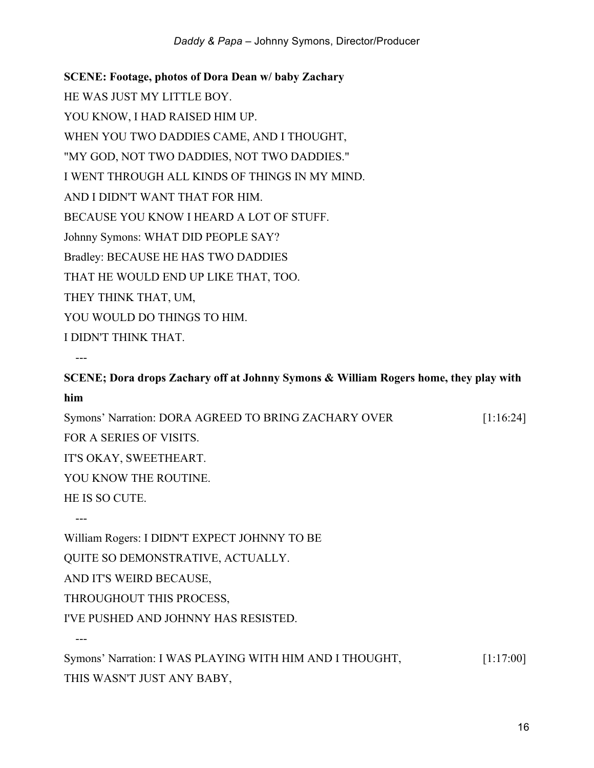**SCENE: Footage, photos of Dora Dean w/ baby Zachary** HE WAS JUST MY LITTLE BOY. YOU KNOW, I HAD RAISED HIM UP. WHEN YOU TWO DADDIES CAME, AND I THOUGHT, "MY GOD, NOT TWO DADDIES, NOT TWO DADDIES." I WENT THROUGH ALL KINDS OF THINGS IN MY MIND. AND I DIDN'T WANT THAT FOR HIM. BECAUSE YOU KNOW I HEARD A LOT OF STUFF. Johnny Symons: WHAT DID PEOPLE SAY? Bradley: BECAUSE HE HAS TWO DADDIES THAT HE WOULD END UP LIKE THAT, TOO. THEY THINK THAT, UM, YOU WOULD DO THINGS TO HIM. I DIDN'T THINK THAT.

---

---

**SCENE; Dora drops Zachary off at Johnny Symons & William Rogers home, they play with him**

Symons' Narration: DORA AGREED TO BRING ZACHARY OVER [1:16:24] FOR A SERIES OF VISITS. IT'S OKAY, SWEETHEART. YOU KNOW THE ROUTINE. HE IS SO CUTE. ---

William Rogers: I DIDN'T EXPECT JOHNNY TO BE QUITE SO DEMONSTRATIVE, ACTUALLY. AND IT'S WEIRD BECAUSE, THROUGHOUT THIS PROCESS, I'VE PUSHED AND JOHNNY HAS RESISTED.

Symons' Narration: I WAS PLAYING WITH HIM AND I THOUGHT, [1:17:00] THIS WASN'T JUST ANY BABY,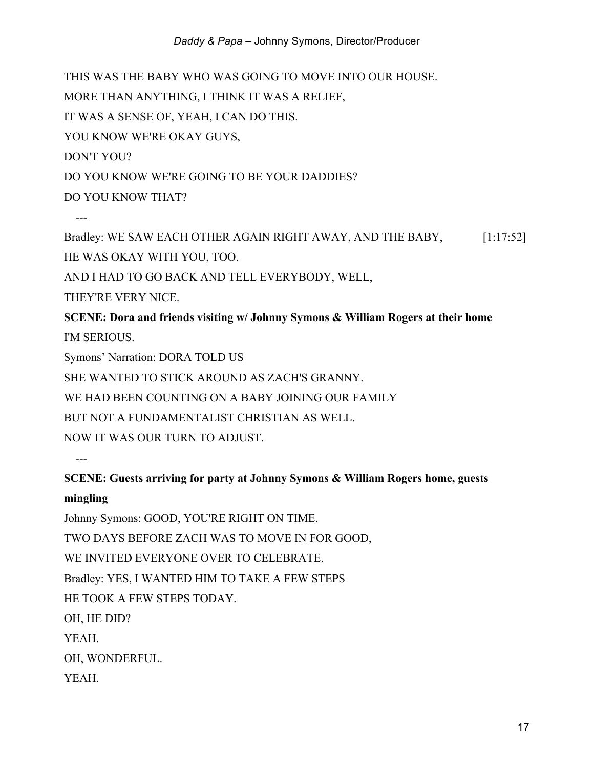THIS WAS THE BABY WHO WAS GOING TO MOVE INTO OUR HOUSE. MORE THAN ANYTHING, I THINK IT WAS A RELIEF, IT WAS A SENSE OF, YEAH, I CAN DO THIS. YOU KNOW WE'RE OKAY GUYS, DON'T YOU? DO YOU KNOW WE'RE GOING TO BE YOUR DADDIES? DO YOU KNOW THAT?

---

Bradley: WE SAW EACH OTHER AGAIN RIGHT AWAY, AND THE BABY, [1:17:52] HE WAS OKAY WITH YOU, TOO.

AND I HAD TO GO BACK AND TELL EVERYBODY, WELL,

THEY'RE VERY NICE.

**SCENE: Dora and friends visiting w/ Johnny Symons & William Rogers at their home** I'M SERIOUS.

Symons' Narration: DORA TOLD US

SHE WANTED TO STICK AROUND AS ZACH'S GRANNY.

WE HAD BEEN COUNTING ON A BABY JOINING OUR FAMILY

BUT NOT A FUNDAMENTALIST CHRISTIAN AS WELL.

NOW IT WAS OUR TURN TO ADJUST.

---

**SCENE: Guests arriving for party at Johnny Symons & William Rogers home, guests mingling**  Johnny Symons: GOOD, YOU'RE RIGHT ON TIME.

TWO DAYS BEFORE ZACH WAS TO MOVE IN FOR GOOD, WE INVITED EVERYONE OVER TO CELEBRATE.

Bradley: YES, I WANTED HIM TO TAKE A FEW STEPS

HE TOOK A FEW STEPS TODAY.

OH, HE DID?

YEAH.

OH, WONDERFUL.

YEAH.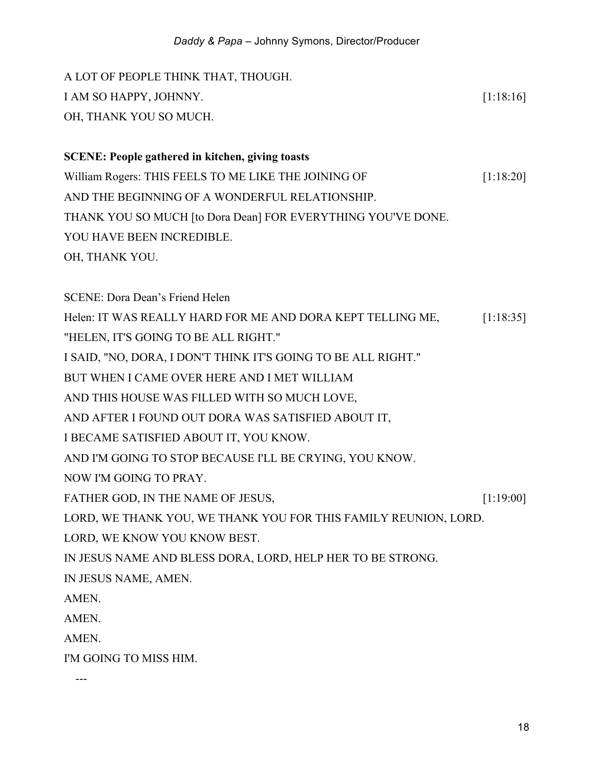A LOT OF PEOPLE THINK THAT, THOUGH. I AM SO HAPPY, JOHNNY. [1:18:16] OH, THANK YOU SO MUCH.

**SCENE: People gathered in kitchen, giving toasts** William Rogers: THIS FEELS TO ME LIKE THE JOINING OF [1:18:20] AND THE BEGINNING OF A WONDERFUL RELATIONSHIP. THANK YOU SO MUCH [to Dora Dean] FOR EVERYTHING YOU'VE DONE. YOU HAVE BEEN INCREDIBLE. OH, THANK YOU.

SCENE: Dora Dean's Friend Helen Helen: IT WAS REALLY HARD FOR ME AND DORA KEPT TELLING ME, [1:18:35] "HELEN, IT'S GOING TO BE ALL RIGHT." I SAID, "NO, DORA, I DON'T THINK IT'S GOING TO BE ALL RIGHT." BUT WHEN I CAME OVER HERE AND I MET WILLIAM AND THIS HOUSE WAS FILLED WITH SO MUCH LOVE, AND AFTER I FOUND OUT DORA WAS SATISFIED ABOUT IT, I BECAME SATISFIED ABOUT IT, YOU KNOW. AND I'M GOING TO STOP BECAUSE I'LL BE CRYING, YOU KNOW. NOW I'M GOING TO PRAY. FATHER GOD, IN THE NAME OF JESUS, [1:19:00] LORD, WE THANK YOU, WE THANK YOU FOR THIS FAMILY REUNION, LORD. LORD, WE KNOW YOU KNOW BEST. IN JESUS NAME AND BLESS DORA, LORD, HELP HER TO BE STRONG. IN JESUS NAME, AMEN. AMEN. AMEN. AMEN. I'M GOING TO MISS HIM.

---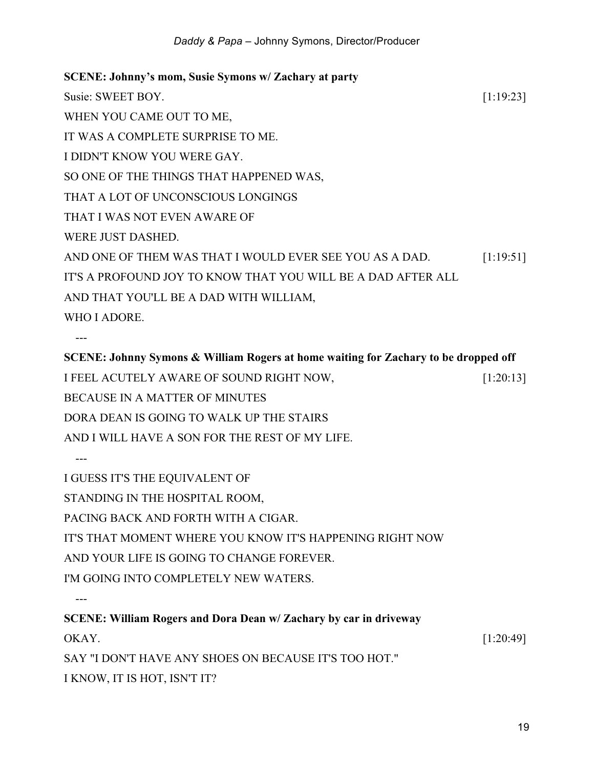**SCENE: Johnny's mom, Susie Symons w/ Zachary at party** Susie: SWEET BOY. [1:19:23] WHEN YOU CAME OUT TO ME, IT WAS A COMPLETE SURPRISE TO ME. I DIDN'T KNOW YOU WERE GAY. SO ONE OF THE THINGS THAT HAPPENED WAS, THAT A LOT OF UNCONSCIOUS LONGINGS THAT I WAS NOT EVEN AWARE OF WERE JUST DASHED. AND ONE OF THEM WAS THAT I WOULD EVER SEE YOU AS A DAD. [1:19:51] IT'S A PROFOUND JOY TO KNOW THAT YOU WILL BE A DAD AFTER ALL AND THAT YOU'LL BE A DAD WITH WILLIAM, WHO I ADORE. --- **SCENE: Johnny Symons & William Rogers at home waiting for Zachary to be dropped off** I FEEL ACUTELY AWARE OF SOUND RIGHT NOW, [1:20:13] BECAUSE IN A MATTER OF MINUTES DORA DEAN IS GOING TO WALK UP THE STAIRS AND I WILL HAVE A SON FOR THE REST OF MY LIFE. --- I GUESS IT'S THE EQUIVALENT OF STANDING IN THE HOSPITAL ROOM, PACING BACK AND FORTH WITH A CIGAR. IT'S THAT MOMENT WHERE YOU KNOW IT'S HAPPENING RIGHT NOW AND YOUR LIFE IS GOING TO CHANGE FOREVER. I'M GOING INTO COMPLETELY NEW WATERS. ---

**SCENE: William Rogers and Dora Dean w/ Zachary by car in driveway** OKAY. [1:20:49] SAY "I DON'T HAVE ANY SHOES ON BECAUSE IT'S TOO HOT." I KNOW, IT IS HOT, ISN'T IT?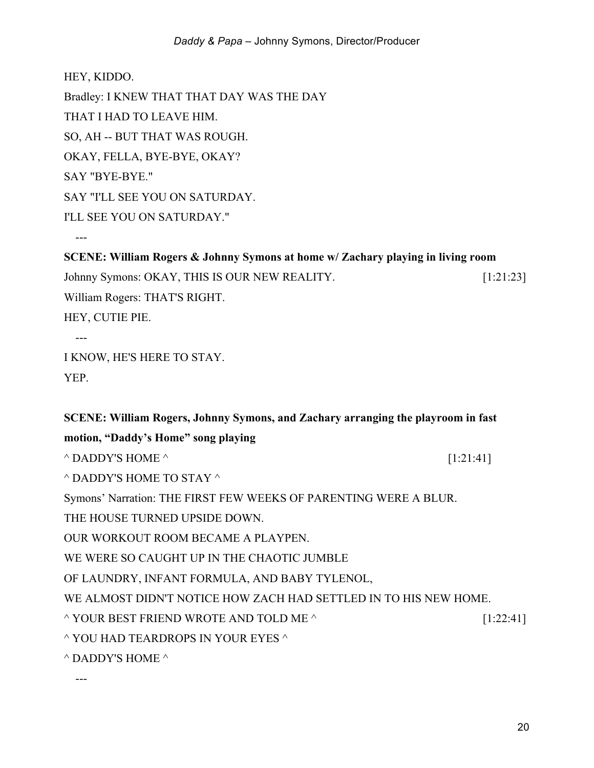HEY, KIDDO. Bradley: I KNEW THAT THAT DAY WAS THE DAY THAT I HAD TO LEAVE HIM. SO, AH -- BUT THAT WAS ROUGH. OKAY, FELLA, BYE-BYE, OKAY? SAY "BYE-BYE." SAY "I'LL SEE YOU ON SATURDAY. I'LL SEE YOU ON SATURDAY."  $\overline{\phantom{a}}$ **SCENE: William Rogers & Johnny Symons at home w/ Zachary playing in living room** Johnny Symons: OKAY, THIS IS OUR NEW REALITY. [1:21:23] William Rogers: THAT'S RIGHT. HEY, CUTIE PIE. --- I KNOW, HE'S HERE TO STAY. YEP. **SCENE: William Rogers, Johnny Symons, and Zachary arranging the playroom in fast motion, "Daddy's Home" song playing**  $^{\wedge}$  DADDY'S HOME  $^{\wedge}$  [1:21:41]  $^\wedge$  DADDY'S HOME TO STAY  $^\wedge$ Symons' Narration: THE FIRST FEW WEEKS OF PARENTING WERE A BLUR. THE HOUSE TURNED UPSIDE DOWN. OUR WORKOUT ROOM BECAME A PLAYPEN. WE WERE SO CAUGHT UP IN THE CHAOTIC JUMBLE OF LAUNDRY, INFANT FORMULA, AND BABY TYLENOL, WE ALMOST DIDN'T NOTICE HOW ZACH HAD SETTLED IN TO HIS NEW HOME.  $\land$  YOUR BEST FRIEND WROTE AND TOLD ME  $\land$  [1:22:41]  $^{\wedge}$  YOU HAD TEARDROPS IN YOUR EYES  $^{\wedge}$  $\wedge$  DADDY'S HOME  $\wedge$ 

---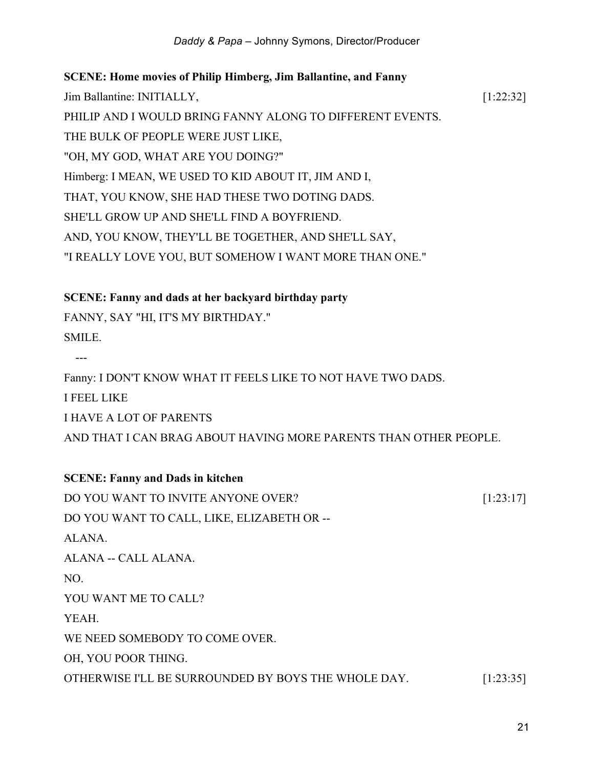**SCENE: Home movies of Philip Himberg, Jim Ballantine, and Fanny** Jim Ballantine: INITIALLY, [1:22:32] PHILIP AND I WOULD BRING FANNY ALONG TO DIFFERENT EVENTS. THE BULK OF PEOPLE WERE JUST LIKE, "OH, MY GOD, WHAT ARE YOU DOING?" Himberg: I MEAN, WE USED TO KID ABOUT IT, JIM AND I, THAT, YOU KNOW, SHE HAD THESE TWO DOTING DADS. SHE'LL GROW UP AND SHE'LL FIND A BOYFRIEND. AND, YOU KNOW, THEY'LL BE TOGETHER, AND SHE'LL SAY, "I REALLY LOVE YOU, BUT SOMEHOW I WANT MORE THAN ONE."

## **SCENE: Fanny and dads at her backyard birthday party**

FANNY, SAY "HI, IT'S MY BIRTHDAY." SMILE.

---

Fanny: I DON'T KNOW WHAT IT FEELS LIKE TO NOT HAVE TWO DADS. I FEEL LIKE I HAVE A LOT OF PARENTS AND THAT I CAN BRAG ABOUT HAVING MORE PARENTS THAN OTHER PEOPLE.

## **SCENE: Fanny and Dads in kitchen**

DO YOU WANT TO INVITE ANYONE OVER? [1:23:17] DO YOU WANT TO CALL, LIKE, ELIZABETH OR -- ALANA. ALANA -- CALL ALANA. NO. YOU WANT ME TO CALL? YEAH. WE NEED SOMEBODY TO COME OVER. OH, YOU POOR THING. OTHERWISE I'LL BE SURROUNDED BY BOYS THE WHOLE DAY. [1:23:35]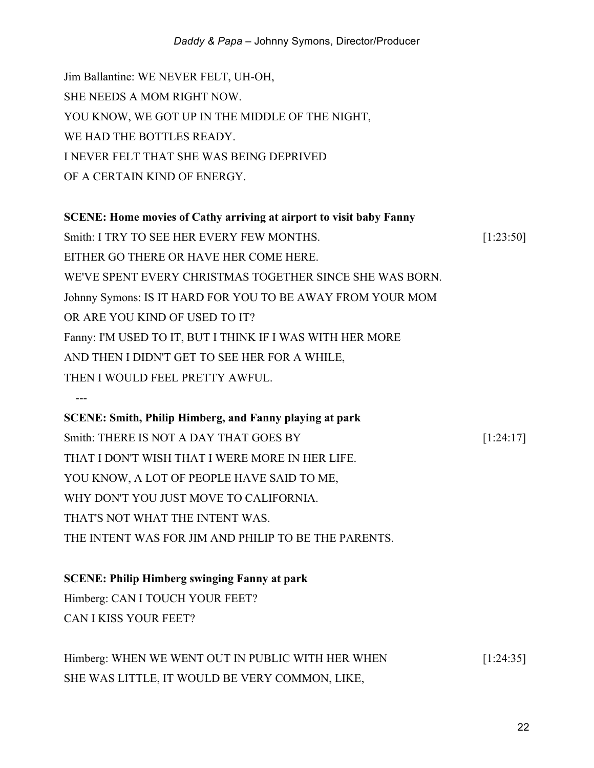Jim Ballantine: WE NEVER FELT, UH-OH, SHE NEEDS A MOM RIGHT NOW. YOU KNOW, WE GOT UP IN THE MIDDLE OF THE NIGHT, WE HAD THE BOTTLES READY. I NEVER FELT THAT SHE WAS BEING DEPRIVED OF A CERTAIN KIND OF ENERGY.

**SCENE: Home movies of Cathy arriving at airport to visit baby Fanny** Smith: I TRY TO SEE HER EVERY FEW MONTHS. [1:23:50] EITHER GO THERE OR HAVE HER COME HERE. WE'VE SPENT EVERY CHRISTMAS TOGETHER SINCE SHE WAS BORN. Johnny Symons: IS IT HARD FOR YOU TO BE AWAY FROM YOUR MOM OR ARE YOU KIND OF USED TO IT? Fanny: I'M USED TO IT, BUT I THINK IF I WAS WITH HER MORE AND THEN I DIDN'T GET TO SEE HER FOR A WHILE, THEN I WOULD FEEL PRETTY AWFUL.

**SCENE: Smith, Philip Himberg, and Fanny playing at park** Smith: THERE IS NOT A DAY THAT GOES BY [1:24:17] THAT I DON'T WISH THAT I WERE MORE IN HER LIFE. YOU KNOW, A LOT OF PEOPLE HAVE SAID TO ME, WHY DON'T YOU JUST MOVE TO CALIFORNIA. THAT'S NOT WHAT THE INTENT WAS. THE INTENT WAS FOR JIM AND PHILIP TO BE THE PARENTS.

**SCENE: Philip Himberg swinging Fanny at park** Himberg: CAN I TOUCH YOUR FEET? CAN I KISS YOUR FEET?

---

Himberg: WHEN WE WENT OUT IN PUBLIC WITH HER WHEN [1:24:35] SHE WAS LITTLE, IT WOULD BE VERY COMMON, LIKE,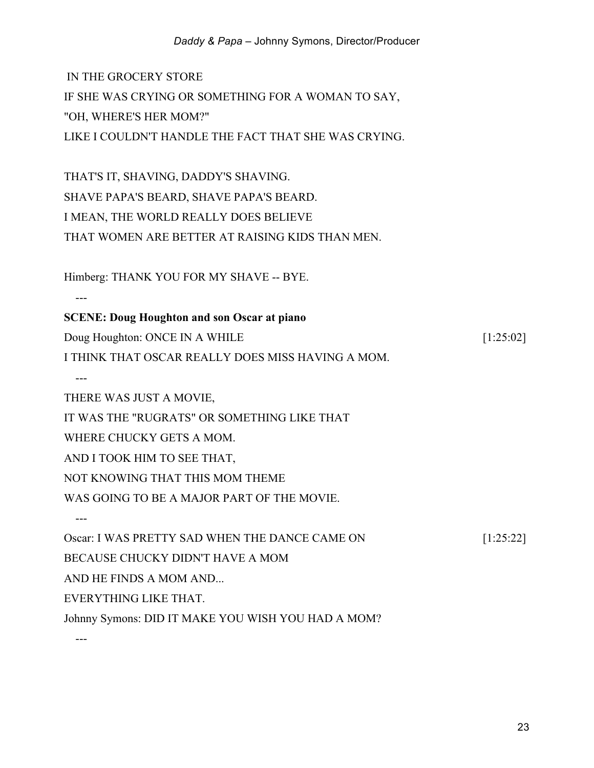IN THE GROCERY STORE IF SHE WAS CRYING OR SOMETHING FOR A WOMAN TO SAY, "OH, WHERE'S HER MOM?" LIKE I COULDN'T HANDLE THE FACT THAT SHE WAS CRYING.

THAT'S IT, SHAVING, DADDY'S SHAVING. SHAVE PAPA'S BEARD, SHAVE PAPA'S BEARD. I MEAN, THE WORLD REALLY DOES BELIEVE THAT WOMEN ARE BETTER AT RAISING KIDS THAN MEN.

Himberg: THANK YOU FOR MY SHAVE -- BYE.

---

---

---

**SCENE: Doug Houghton and son Oscar at piano** Doug Houghton: ONCE IN A WHILE [1:25:02] I THINK THAT OSCAR REALLY DOES MISS HAVING A MOM. ---

THERE WAS JUST A MOVIE, IT WAS THE "RUGRATS" OR SOMETHING LIKE THAT WHERE CHUCKY GETS A MOM. AND I TOOK HIM TO SEE THAT, NOT KNOWING THAT THIS MOM THEME WAS GOING TO BE A MAJOR PART OF THE MOVIE.

Oscar: I WAS PRETTY SAD WHEN THE DANCE CAME ON [1:25:22] BECAUSE CHUCKY DIDN'T HAVE A MOM AND HE FINDS A MOM AND... EVERYTHING LIKE THAT. Johnny Symons: DID IT MAKE YOU WISH YOU HAD A MOM?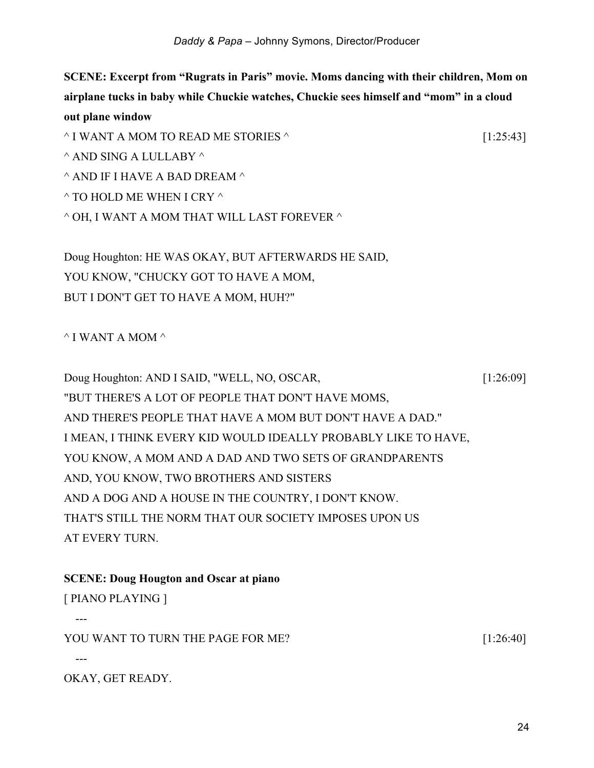**SCENE: Excerpt from "Rugrats in Paris" movie. Moms dancing with their children, Mom on airplane tucks in baby while Chuckie watches, Chuckie sees himself and "mom" in a cloud out plane window**

 $\land$  I WANT A MOM TO READ ME STORIES  $\land$  [1:25:43]

 $^{\wedge}$  AND SING A LULLABY  $^{\wedge}$ 

 $^\wedge$  AND IF I HAVE A BAD DREAM  $^\wedge$ 

 $^\wedge$  TO HOLD ME WHEN I CRY  $^\wedge$ 

 $^{\wedge}$  OH, I WANT A MOM THAT WILL LAST FOREVER  $^{\wedge}$ 

Doug Houghton: HE WAS OKAY, BUT AFTERWARDS HE SAID, YOU KNOW, "CHUCKY GOT TO HAVE A MOM, BUT I DON'T GET TO HAVE A MOM, HUH?"

 $\wedge$  I WANT A MOM  $\wedge$ 

Doug Houghton: AND I SAID, "WELL, NO, OSCAR, [1:26:09] "BUT THERE'S A LOT OF PEOPLE THAT DON'T HAVE MOMS, AND THERE'S PEOPLE THAT HAVE A MOM BUT DON'T HAVE A DAD." I MEAN, I THINK EVERY KID WOULD IDEALLY PROBABLY LIKE TO HAVE, YOU KNOW, A MOM AND A DAD AND TWO SETS OF GRANDPARENTS AND, YOU KNOW, TWO BROTHERS AND SISTERS AND A DOG AND A HOUSE IN THE COUNTRY, I DON'T KNOW. THAT'S STILL THE NORM THAT OUR SOCIETY IMPOSES UPON US AT EVERY TURN.

## **SCENE: Doug Hougton and Oscar at piano**

[ PIANO PLAYING ]

---

YOU WANT TO TURN THE PAGE FOR ME? [1:26:40]

---

OKAY, GET READY.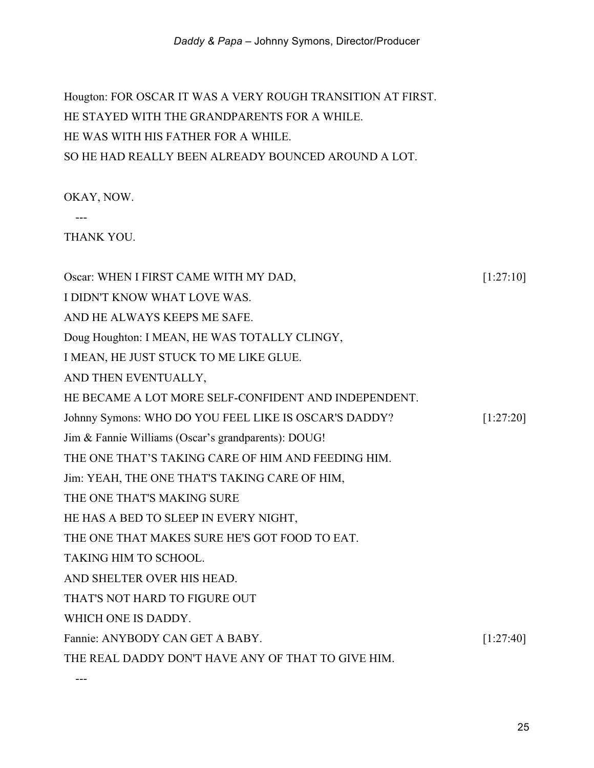Hougton: FOR OSCAR IT WAS A VERY ROUGH TRANSITION AT FIRST. HE STAYED WITH THE GRANDPARENTS FOR A WHILE. HE WAS WITH HIS FATHER FOR A WHILE. SO HE HAD REALLY BEEN ALREADY BOUNCED AROUND A LOT.

OKAY, NOW.

---

---

THANK YOU.

| Oscar: WHEN I FIRST CAME WITH MY DAD,                 | [1:27:10] |
|-------------------------------------------------------|-----------|
| I DIDN'T KNOW WHAT LOVE WAS.                          |           |
| AND HE ALWAYS KEEPS ME SAFE.                          |           |
| Doug Houghton: I MEAN, HE WAS TOTALLY CLINGY,         |           |
| I MEAN, HE JUST STUCK TO ME LIKE GLUE.                |           |
| AND THEN EVENTUALLY,                                  |           |
| HE BECAME A LOT MORE SELF-CONFIDENT AND INDEPENDENT.  |           |
| Johnny Symons: WHO DO YOU FEEL LIKE IS OSCAR'S DADDY? | [1:27:20] |
| Jim & Fannie Williams (Oscar's grandparents): DOUG!   |           |
| THE ONE THAT'S TAKING CARE OF HIM AND FEEDING HIM.    |           |
| Jim: YEAH, THE ONE THAT'S TAKING CARE OF HIM,         |           |
| THE ONE THAT'S MAKING SURE                            |           |
| HE HAS A BED TO SLEEP IN EVERY NIGHT,                 |           |
| THE ONE THAT MAKES SURE HE'S GOT FOOD TO EAT.         |           |
| TAKING HIM TO SCHOOL.                                 |           |
| AND SHELTER OVER HIS HEAD.                            |           |
| THAT'S NOT HARD TO FIGURE OUT                         |           |
| WHICH ONE IS DADDY.                                   |           |
| Fannie: ANYBODY CAN GET A BABY.                       | [1:27:40] |
| THE REAL DADDY DON'T HAVE ANY OF THAT TO GIVE HIM.    |           |
|                                                       |           |

25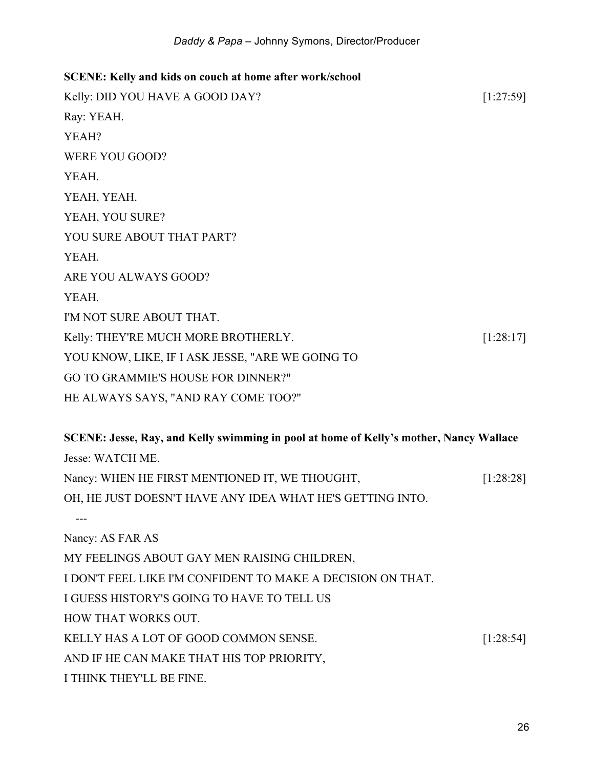| <b>SCENE: Kelly and kids on couch at home after work/school</b>                        |           |
|----------------------------------------------------------------------------------------|-----------|
| Kelly: DID YOU HAVE A GOOD DAY?                                                        | [1:27:59] |
| Ray: YEAH.                                                                             |           |
| YEAH?                                                                                  |           |
| WERE YOU GOOD?                                                                         |           |
| YEAH.                                                                                  |           |
| YEAH, YEAH.                                                                            |           |
| YEAH, YOU SURE?                                                                        |           |
| YOU SURE ABOUT THAT PART?                                                              |           |
| YEAH.                                                                                  |           |
| ARE YOU ALWAYS GOOD?                                                                   |           |
| YEAH.                                                                                  |           |
| I'M NOT SURE ABOUT THAT.                                                               |           |
| Kelly: THEY'RE MUCH MORE BROTHERLY.                                                    | [1:28:17] |
| YOU KNOW, LIKE, IF I ASK JESSE, "ARE WE GOING TO                                       |           |
| <b>GO TO GRAMMIE'S HOUSE FOR DINNER?"</b>                                              |           |
| HE ALWAYS SAYS, "AND RAY COME TOO?"                                                    |           |
| SCENE: Jesse, Ray, and Kelly swimming in pool at home of Kelly's mother, Nancy Wallace |           |
| Jesse: WATCH ME.                                                                       |           |
| Nancy: WHEN HE FIRST MENTIONED IT, WE THOUGHT,                                         | [1:28:28] |
| OH, HE JUST DOESN'T HAVE ANY IDEA WHAT HE'S GETTING INTO.                              |           |
|                                                                                        |           |
| Nancy: AS FAR AS                                                                       |           |
| MY FEELINGS ABOUT GAY MEN RAISING CHILDREN,                                            |           |
| I DON'T FEEL LIKE I'M CONFIDENT TO MAKE A DECISION ON THAT.                            |           |
| I GUESS HISTORY'S GOING TO HAVE TO TELL US                                             |           |
| HOW THAT WORKS OUT.                                                                    |           |
| KELLY HAS A LOT OF GOOD COMMON SENSE.                                                  | [1:28:54] |
| AND IF HE CAN MAKE THAT HIS TOP PRIORITY,                                              |           |
| I THINK THEY'LL BE FINE.                                                               |           |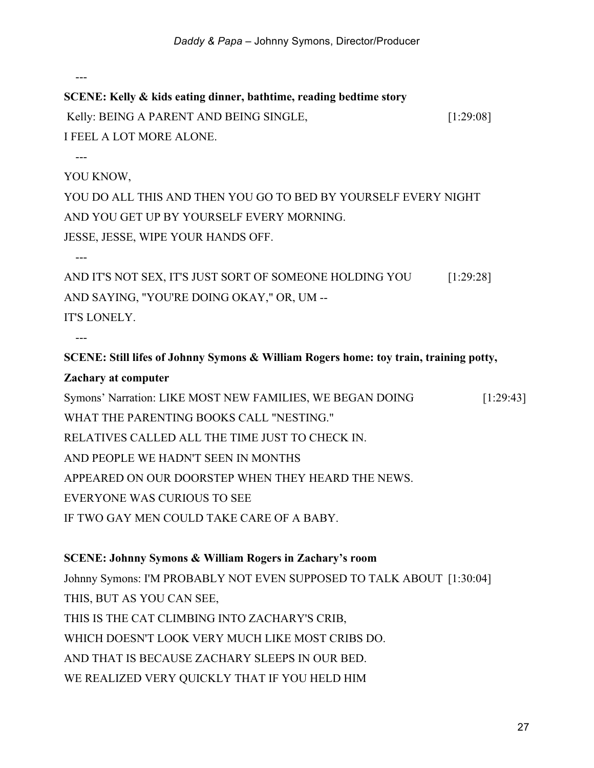---

**SCENE: Kelly & kids eating dinner, bathtime, reading bedtime story** Kelly: BEING A PARENT AND BEING SINGLE, [1:29:08] I FEEL A LOT MORE ALONE.

---

YOU KNOW,

YOU DO ALL THIS AND THEN YOU GO TO BED BY YOURSELF EVERY NIGHT AND YOU GET UP BY YOURSELF EVERY MORNING. JESSE, JESSE, WIPE YOUR HANDS OFF.

---

AND IT'S NOT SEX, IT'S JUST SORT OF SOMEONE HOLDING YOU [1:29:28] AND SAYING, "YOU'RE DOING OKAY," OR, UM -- IT'S LONELY.

---

**SCENE: Still lifes of Johnny Symons & William Rogers home: toy train, training potty, Zachary at computer**

Symons' Narration: LIKE MOST NEW FAMILIES, WE BEGAN DOING [1:29:43] WHAT THE PARENTING BOOKS CALL "NESTING." RELATIVES CALLED ALL THE TIME JUST TO CHECK IN. AND PEOPLE WE HADN'T SEEN IN MONTHS APPEARED ON OUR DOORSTEP WHEN THEY HEARD THE NEWS. EVERYONE WAS CURIOUS TO SEE IF TWO GAY MEN COULD TAKE CARE OF A BABY.

**SCENE: Johnny Symons & William Rogers in Zachary's room** Johnny Symons: I'M PROBABLY NOT EVEN SUPPOSED TO TALK ABOUT [1:30:04] THIS, BUT AS YOU CAN SEE, THIS IS THE CAT CLIMBING INTO ZACHARY'S CRIB, WHICH DOESN'T LOOK VERY MUCH LIKE MOST CRIBS DO. AND THAT IS BECAUSE ZACHARY SLEEPS IN OUR BED. WE REALIZED VERY QUICKLY THAT IF YOU HELD HIM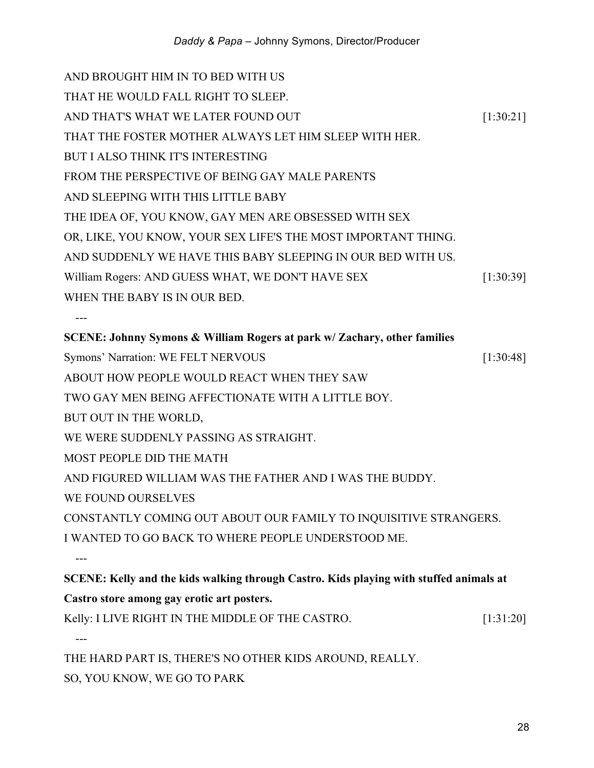AND BROUGHT HIM IN TO BED WITH US THAT HE WOULD FALL RIGHT TO SLEEP. AND THAT'S WHAT WE LATER FOUND OUT [1:30:21] THAT THE FOSTER MOTHER ALWAYS LET HIM SLEEP WITH HER. BUT I ALSO THINK IT'S INTERESTING FROM THE PERSPECTIVE OF BEING GAY MALE PARENTS AND SLEEPING WITH THIS LITTLE BABY THE IDEA OF, YOU KNOW, GAY MEN ARE OBSESSED WITH SEX OR, LIKE, YOU KNOW, YOUR SEX LIFE'S THE MOST IMPORTANT THING. AND SUDDENLY WE HAVE THIS BABY SLEEPING IN OUR BED WITH US. William Rogers: AND GUESS WHAT, WE DON'T HAVE SEX [1:30:39] WHEN THE BABY IS IN OUR BED.

**SCENE: Johnny Symons & William Rogers at park w/ Zachary, other families** Symons' Narration: WE FELT NERVOUS [1:30:48] ABOUT HOW PEOPLE WOULD REACT WHEN THEY SAW TWO GAY MEN BEING AFFECTIONATE WITH A LITTLE BOY. BUT OUT IN THE WORLD, WE WERE SUDDENLY PASSING AS STRAIGHT. MOST PEOPLE DID THE MATH AND FIGURED WILLIAM WAS THE FATHER AND I WAS THE BUDDY. WE FOUND OURSELVES CONSTANTLY COMING OUT ABOUT OUR FAMILY TO INQUISITIVE STRANGERS. I WANTED TO GO BACK TO WHERE PEOPLE UNDERSTOOD ME. ---

**SCENE: Kelly and the kids walking through Castro. Kids playing with stuffed animals at Castro store among gay erotic art posters.** Kelly: I LIVE RIGHT IN THE MIDDLE OF THE CASTRO. [1:31:20] ---

THE HARD PART IS, THERE'S NO OTHER KIDS AROUND, REALLY. SO, YOU KNOW, WE GO TO PARK

---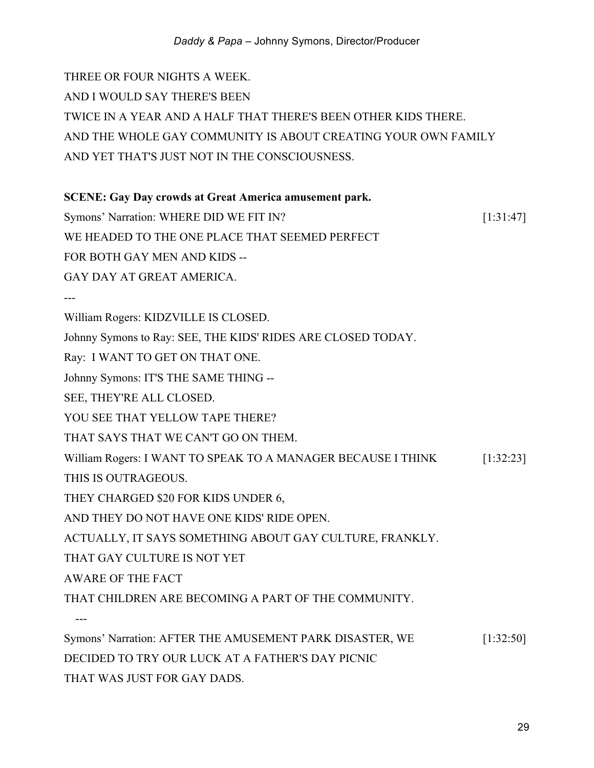THREE OR FOUR NIGHTS A WEEK. AND I WOULD SAY THERE'S BEEN TWICE IN A YEAR AND A HALF THAT THERE'S BEEN OTHER KIDS THERE. AND THE WHOLE GAY COMMUNITY IS ABOUT CREATING YOUR OWN FAMILY AND YET THAT'S JUST NOT IN THE CONSCIOUSNESS.

**SCENE: Gay Day crowds at Great America amusement park.** Symons' Narration: WHERE DID WE FIT IN? [1:31:47] WE HEADED TO THE ONE PLACE THAT SEEMED PERFECT FOR BOTH GAY MEN AND KIDS -- GAY DAY AT GREAT AMERICA. --- William Rogers: KIDZVILLE IS CLOSED. Johnny Symons to Ray: SEE, THE KIDS' RIDES ARE CLOSED TODAY. Ray: I WANT TO GET ON THAT ONE. Johnny Symons: IT'S THE SAME THING -- SEE, THEY'RE ALL CLOSED. YOU SEE THAT YELLOW TAPE THERE? THAT SAYS THAT WE CAN'T GO ON THEM. William Rogers: I WANT TO SPEAK TO A MANAGER BECAUSE I THINK [1:32:23] THIS IS OUTRAGEOUS. THEY CHARGED \$20 FOR KIDS UNDER 6, AND THEY DO NOT HAVE ONE KIDS' RIDE OPEN. ACTUALLY, IT SAYS SOMETHING ABOUT GAY CULTURE, FRANKLY. THAT GAY CULTURE IS NOT YET AWARE OF THE FACT THAT CHILDREN ARE BECOMING A PART OF THE COMMUNITY. --- Symons' Narration: AFTER THE AMUSEMENT PARK DISASTER, WE [1:32:50] DECIDED TO TRY OUR LUCK AT A FATHER'S DAY PICNIC

THAT WAS JUST FOR GAY DADS.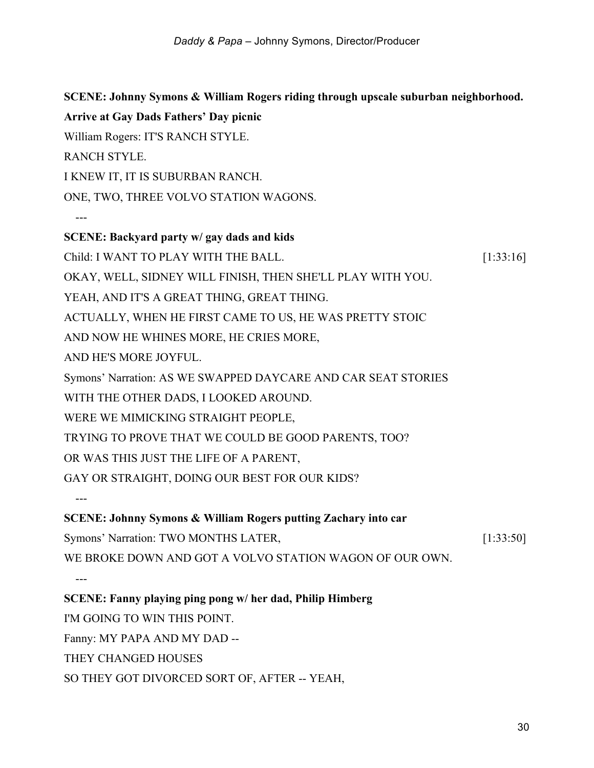**SCENE: Johnny Symons & William Rogers riding through upscale suburban neighborhood.** 

# **Arrive at Gay Dads Fathers' Day picnic**

William Rogers: IT'S RANCH STYLE.

RANCH STYLE.

I KNEW IT, IT IS SUBURBAN RANCH.

ONE, TWO, THREE VOLVO STATION WAGONS.

---

# **SCENE: Backyard party w/ gay dads and kids**

Child: I WANT TO PLAY WITH THE BALL. [1:33:16]

OKAY, WELL, SIDNEY WILL FINISH, THEN SHE'LL PLAY WITH YOU.

YEAH, AND IT'S A GREAT THING, GREAT THING.

ACTUALLY, WHEN HE FIRST CAME TO US, HE WAS PRETTY STOIC

AND NOW HE WHINES MORE, HE CRIES MORE,

AND HE'S MORE JOYFUL.

Symons' Narration: AS WE SWAPPED DAYCARE AND CAR SEAT STORIES

WITH THE OTHER DADS, I LOOKED AROUND.

WERE WE MIMICKING STRAIGHT PEOPLE,

TRYING TO PROVE THAT WE COULD BE GOOD PARENTS, TOO?

OR WAS THIS JUST THE LIFE OF A PARENT,

GAY OR STRAIGHT, DOING OUR BEST FOR OUR KIDS?

---

# **SCENE: Johnny Symons & William Rogers putting Zachary into car**

Symons' Narration: TWO MONTHS LATER, [1:33:50]

WE BROKE DOWN AND GOT A VOLVO STATION WAGON OF OUR OWN.

---

**SCENE: Fanny playing ping pong w/ her dad, Philip Himberg**

I'M GOING TO WIN THIS POINT.

Fanny: MY PAPA AND MY DAD --

THEY CHANGED HOUSES

SO THEY GOT DIVORCED SORT OF, AFTER -- YEAH,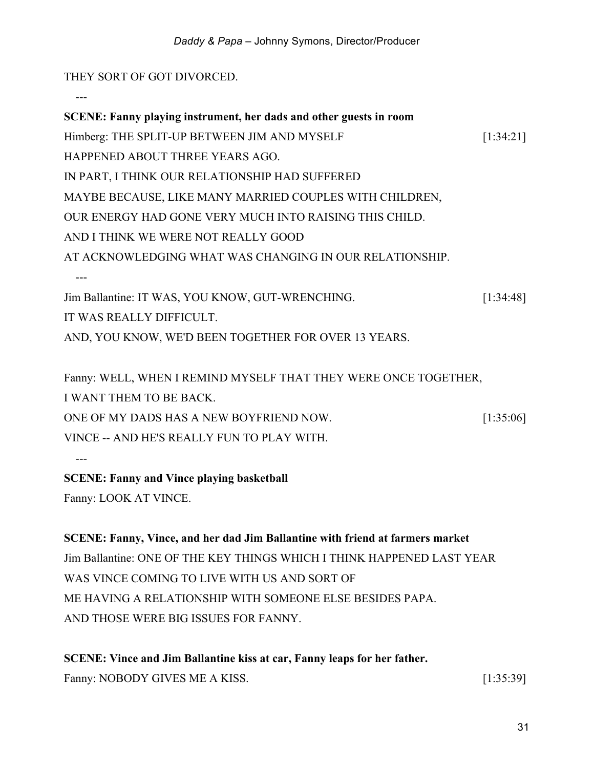# THEY SORT OF GOT DIVORCED.

---

| <b>SCENE: Fanny playing instrument, her dads and other guests in room</b> |           |
|---------------------------------------------------------------------------|-----------|
| Himberg: THE SPLIT-UP BETWEEN JIM AND MYSELF                              | [1:34:21] |
| HAPPENED ABOUT THREE YEARS AGO.                                           |           |
| IN PART, I THINK OUR RELATIONSHIP HAD SUFFERED                            |           |
| MAYBE BECAUSE, LIKE MANY MARRIED COUPLES WITH CHILDREN,                   |           |
| OUR ENERGY HAD GONE VERY MUCH INTO RAISING THIS CHILD.                    |           |
| AND I THINK WE WERE NOT REALLY GOOD                                       |           |
| AT ACKNOWLEDGING WHAT WAS CHANGING IN OUR RELATIONSHIP.                   |           |
|                                                                           |           |
| Jim Ballantine: IT WAS, YOU KNOW, GUT-WRENCHING.                          | [1:34:48] |
| IT WAS REALLY DIFFICULT.                                                  |           |
| AND, YOU KNOW, WE'D BEEN TOGETHER FOR OVER 13 YEARS.                      |           |
|                                                                           |           |
| Fanny: WELL, WHEN I REMIND MYSELF THAT THEY WERE ONCE TOGETHER,           |           |
| <b>I WANT THEM TO BE BACK.</b>                                            |           |
| ONE OF MY DADS HAS A NEW BOYFRIEND NOW.                                   | [1:35:06] |
|                                                                           |           |

VINCE -- AND HE'S REALLY FUN TO PLAY WITH.

---

# **SCENE: Fanny and Vince playing basketball**

Fanny: LOOK AT VINCE.

**SCENE: Fanny, Vince, and her dad Jim Ballantine with friend at farmers market** Jim Ballantine: ONE OF THE KEY THINGS WHICH I THINK HAPPENED LAST YEAR WAS VINCE COMING TO LIVE WITH US AND SORT OF ME HAVING A RELATIONSHIP WITH SOMEONE ELSE BESIDES PAPA. AND THOSE WERE BIG ISSUES FOR FANNY.

# **SCENE: Vince and Jim Ballantine kiss at car, Fanny leaps for her father.** Fanny: NOBODY GIVES ME A KISS. [1:35:39]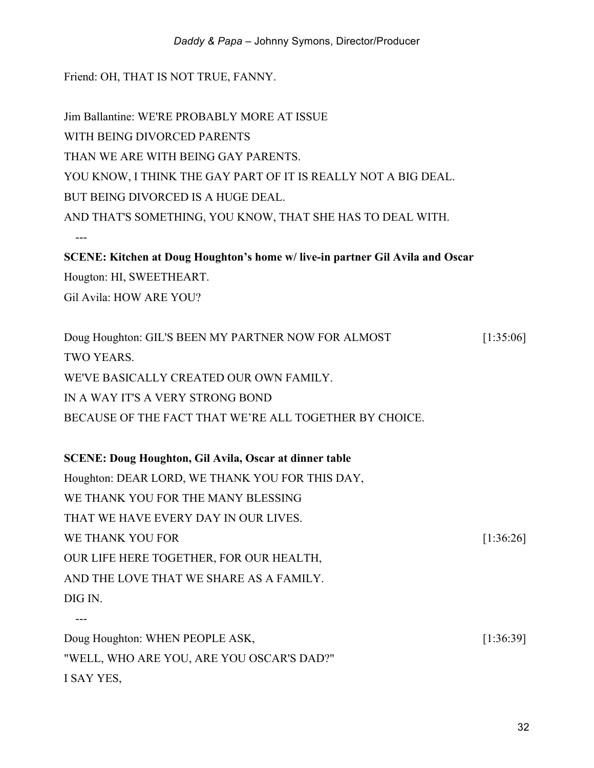Friend: OH, THAT IS NOT TRUE, FANNY.

Jim Ballantine: WE'RE PROBABLY MORE AT ISSUE WITH BEING DIVORCED PARENTS THAN WE ARE WITH BEING GAY PARENTS. YOU KNOW, I THINK THE GAY PART OF IT IS REALLY NOT A BIG DEAL. BUT BEING DIVORCED IS A HUGE DEAL. AND THAT'S SOMETHING, YOU KNOW, THAT SHE HAS TO DEAL WITH. --- **SCENE: Kitchen at Doug Houghton's home w/ live-in partner Gil Avila and Oscar**

Hougton: HI, SWEETHEART.

Gil Avila: HOW ARE YOU?

Doug Houghton: GIL'S BEEN MY PARTNER NOW FOR ALMOST [1:35:06] TWO YEARS. WE'VE BASICALLY CREATED OUR OWN FAMILY. IN A WAY IT'S A VERY STRONG BOND BECAUSE OF THE FACT THAT WE'RE ALL TOGETHER BY CHOICE.

**SCENE: Doug Houghton, Gil Avila, Oscar at dinner table** Houghton: DEAR LORD, WE THANK YOU FOR THIS DAY, WE THANK YOU FOR THE MANY BLESSING THAT WE HAVE EVERY DAY IN OUR LIVES. WE THANK YOU FOR  $[1:36:26]$ OUR LIFE HERE TOGETHER, FOR OUR HEALTH, AND THE LOVE THAT WE SHARE AS A FAMILY. DIG IN. ---

Doug Houghton: WHEN PEOPLE ASK, [1:36:39] "WELL, WHO ARE YOU, ARE YOU OSCAR'S DAD?" I SAY YES,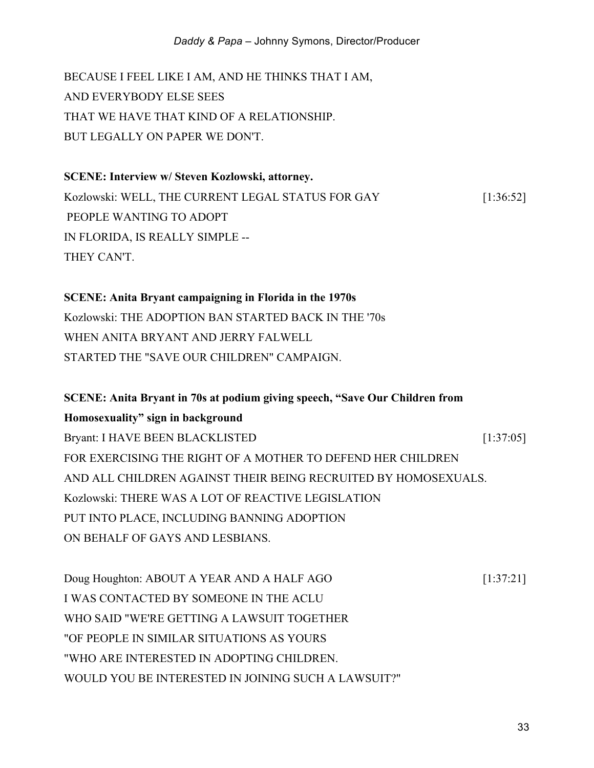BECAUSE I FEEL LIKE I AM, AND HE THINKS THAT I AM, AND EVERYBODY ELSE SEES THAT WE HAVE THAT KIND OF A RELATIONSHIP. BUT LEGALLY ON PAPER WE DON'T.

# **SCENE: Interview w/ Steven Kozlowski, attorney.**

Kozlowski: WELL, THE CURRENT LEGAL STATUS FOR GAY [1:36:52] PEOPLE WANTING TO ADOPT IN FLORIDA, IS REALLY SIMPLE -- THEY CAN'T.

## **SCENE: Anita Bryant campaigning in Florida in the 1970s**

Kozlowski: THE ADOPTION BAN STARTED BACK IN THE '70s WHEN ANITA BRYANT AND JERRY FALWELL STARTED THE "SAVE OUR CHILDREN" CAMPAIGN.

# **SCENE: Anita Bryant in 70s at podium giving speech, "Save Our Children from Homosexuality" sign in background** Bryant: I HAVE BEEN BLACKLISTED [1:37:05] FOR EXERCISING THE RIGHT OF A MOTHER TO DEFEND HER CHILDREN AND ALL CHILDREN AGAINST THEIR BEING RECRUITED BY HOMOSEXUALS. Kozlowski: THERE WAS A LOT OF REACTIVE LEGISLATION PUT INTO PLACE, INCLUDING BANNING ADOPTION ON BEHALF OF GAYS AND LESBIANS.

Doug Houghton: ABOUT A YEAR AND A HALF AGO [1:37:21] I WAS CONTACTED BY SOMEONE IN THE ACLU WHO SAID "WE'RE GETTING A LAWSUIT TOGETHER "OF PEOPLE IN SIMILAR SITUATIONS AS YOURS "WHO ARE INTERESTED IN ADOPTING CHILDREN. WOULD YOU BE INTERESTED IN JOINING SUCH A LAWSUIT?"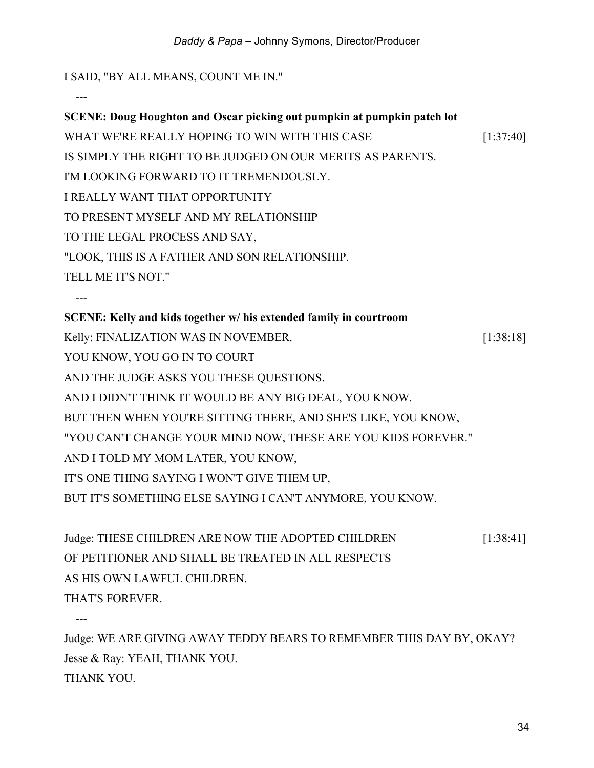## I SAID, "BY ALL MEANS, COUNT ME IN."

---

```
SCENE: Doug Houghton and Oscar picking out pumpkin at pumpkin patch lot
WHAT WE'RE REALLY HOPING TO WIN WITH THIS CASE [1:37:40]
IS SIMPLY THE RIGHT TO BE JUDGED ON OUR MERITS AS PARENTS.
I'M LOOKING FORWARD TO IT TREMENDOUSLY.
I REALLY WANT THAT OPPORTUNITY
TO PRESENT MYSELF AND MY RELATIONSHIP
TO THE LEGAL PROCESS AND SAY,
"LOOK, THIS IS A FATHER AND SON RELATIONSHIP.
TELL ME IT'S NOT."
 ---
SCENE: Kelly and kids together w/ his extended family in courtroom
```
Kelly: FINALIZATION WAS IN NOVEMBER. [1:38:18] YOU KNOW, YOU GO IN TO COURT

AND THE JUDGE ASKS YOU THESE QUESTIONS.

AND I DIDN'T THINK IT WOULD BE ANY BIG DEAL, YOU KNOW.

BUT THEN WHEN YOU'RE SITTING THERE, AND SHE'S LIKE, YOU KNOW,

"YOU CAN'T CHANGE YOUR MIND NOW, THESE ARE YOU KIDS FOREVER."

AND I TOLD MY MOM LATER, YOU KNOW,

IT'S ONE THING SAYING I WON'T GIVE THEM UP,

BUT IT'S SOMETHING ELSE SAYING I CAN'T ANYMORE, YOU KNOW.

```
Judge: THESE CHILDREN ARE NOW THE ADOPTED CHILDREN [1:38:41]
OF PETITIONER AND SHALL BE TREATED IN ALL RESPECTS
AS HIS OWN LAWFUL CHILDREN.
THAT'S FOREVER.
```
---

Judge: WE ARE GIVING AWAY TEDDY BEARS TO REMEMBER THIS DAY BY, OKAY? Jesse & Ray: YEAH, THANK YOU. THANK YOU.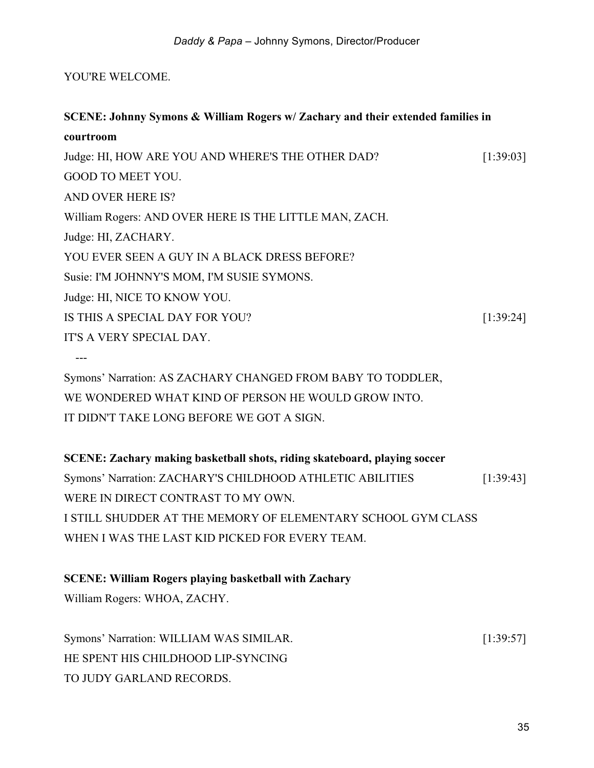## YOU'RE WELCOME.

| SCENE: Johnny Symons & William Rogers w/ Zachary and their extended families in |           |
|---------------------------------------------------------------------------------|-----------|
| courtroom                                                                       |           |
| Judge: HI, HOW ARE YOU AND WHERE'S THE OTHER DAD?                               | [1:39:03] |
| <b>GOOD TO MEET YOU.</b>                                                        |           |
| AND OVER HERE IS?                                                               |           |
| William Rogers: AND OVER HERE IS THE LITTLE MAN, ZACH.                          |           |
| Judge: HI, ZACHARY.                                                             |           |
| YOU EVER SEEN A GUY IN A BLACK DRESS BEFORE?                                    |           |
| Susie: I'M JOHNNY'S MOM, I'M SUSIE SYMONS.                                      |           |
| Judge: HI, NICE TO KNOW YOU.                                                    |           |
| IS THIS A SPECIAL DAY FOR YOU?                                                  | [1:39:24] |
| IT'S A VERY SPECIAL DAY.                                                        |           |

---

Symons' Narration: AS ZACHARY CHANGED FROM BABY TO TODDLER, WE WONDERED WHAT KIND OF PERSON HE WOULD GROW INTO. IT DIDN'T TAKE LONG BEFORE WE GOT A SIGN.

**SCENE: Zachary making basketball shots, riding skateboard, playing soccer** Symons' Narration: ZACHARY'S CHILDHOOD ATHLETIC ABILITIES [1:39:43] WERE IN DIRECT CONTRAST TO MY OWN. I STILL SHUDDER AT THE MEMORY OF ELEMENTARY SCHOOL GYM CLASS WHEN I WAS THE LAST KID PICKED FOR EVERY TEAM.

**SCENE: William Rogers playing basketball with Zachary** William Rogers: WHOA, ZACHY.

Symons' Narration: WILLIAM WAS SIMILAR. [1:39:57] HE SPENT HIS CHILDHOOD LIP-SYNCING TO JUDY GARLAND RECORDS.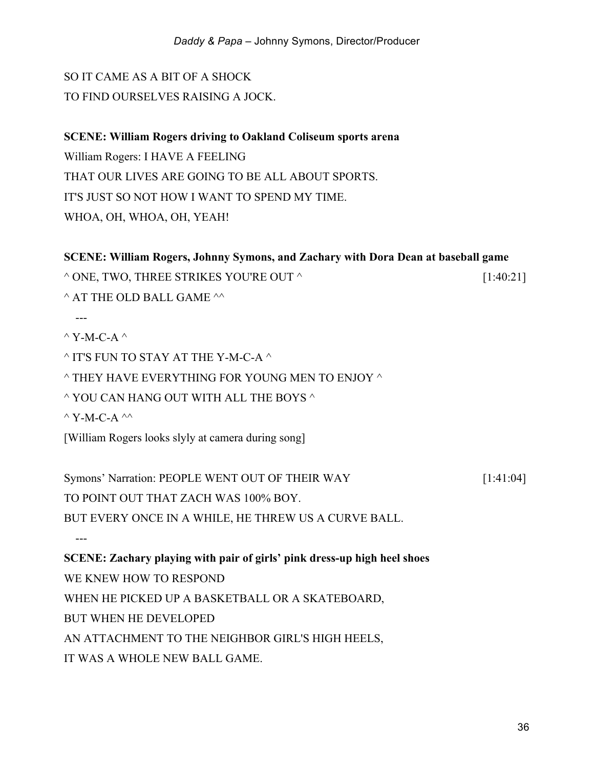SO IT CAME AS A BIT OF A SHOCK TO FIND OURSELVES RAISING A JOCK.

**SCENE: William Rogers driving to Oakland Coliseum sports arena** William Rogers: I HAVE A FEELING THAT OUR LIVES ARE GOING TO BE ALL ABOUT SPORTS. IT'S JUST SO NOT HOW I WANT TO SPEND MY TIME. WHOA, OH, WHOA, OH, YEAH!

**SCENE: William Rogers, Johnny Symons, and Zachary with Dora Dean at baseball game**  $^{\wedge}$  ONE, TWO, THREE STRIKES YOU'RE OUT  $^{\wedge}$  [1:40:21]  $^{\wedge}$  AT THE OLD BALL GAME  $^{\wedge\wedge}$ ---

 $\wedge$  Y-M-C-A  $\wedge$ 

 $^\wedge$  IT'S FUN TO STAY AT THE Y-M-C-A  $^\wedge$ 

 $^\wedge$  THEY HAVE EVERYTHING FOR YOUNG MEN TO ENJOY  $^\wedge$ 

 $^\wedge$  YOU CAN HANG OUT WITH ALL THE BOYS  $^\wedge$ 

 $\wedge$  Y-M-C-A  $\wedge$ 

---

[William Rogers looks slyly at camera during song]

Symons' Narration: PEOPLE WENT OUT OF THEIR WAY [1:41:04] TO POINT OUT THAT ZACH WAS 100% BOY. BUT EVERY ONCE IN A WHILE, HE THREW US A CURVE BALL.

**SCENE: Zachary playing with pair of girls' pink dress-up high heel shoes** WE KNEW HOW TO RESPOND WHEN HE PICKED UP A BASKETBALL OR A SKATEBOARD, BUT WHEN HE DEVELOPED AN ATTACHMENT TO THE NEIGHBOR GIRL'S HIGH HEELS, IT WAS A WHOLE NEW BALL GAME.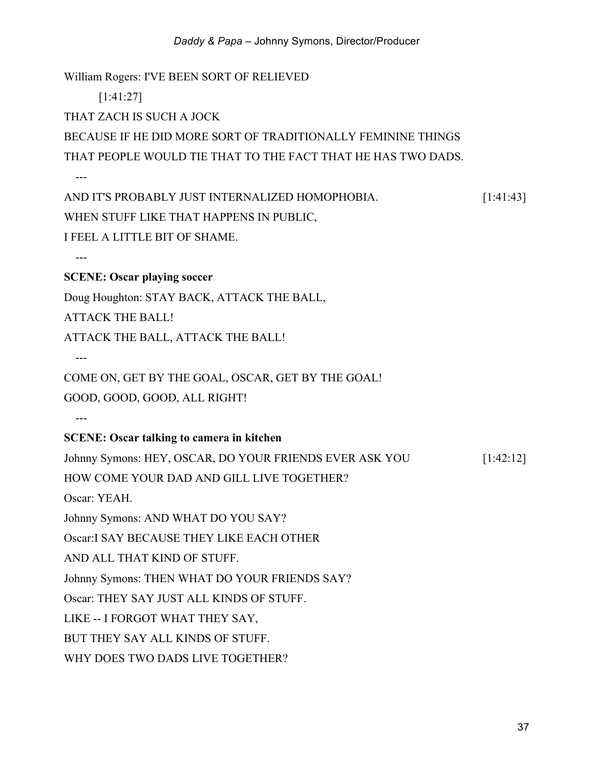William Rogers: I'VE BEEN SORT OF RELIEVED [1:41:27] THAT ZACH IS SUCH A JOCK BECAUSE IF HE DID MORE SORT OF TRADITIONALLY FEMININE THINGS THAT PEOPLE WOULD TIE THAT TO THE FACT THAT HE HAS TWO DADS. --- AND IT'S PROBABLY JUST INTERNALIZED HOMOPHOBIA. [1:41:43] WHEN STUFF LIKE THAT HAPPENS IN PUBLIC, I FEEL A LITTLE BIT OF SHAME. --- **SCENE: Oscar playing soccer** Doug Houghton: STAY BACK, ATTACK THE BALL, ATTACK THE BALL! ATTACK THE BALL, ATTACK THE BALL! --- COME ON, GET BY THE GOAL, OSCAR, GET BY THE GOAL! GOOD, GOOD, GOOD, ALL RIGHT! --- **SCENE: Oscar talking to camera in kitchen** Johnny Symons: HEY, OSCAR, DO YOUR FRIENDS EVER ASK YOU [1:42:12] HOW COME YOUR DAD AND GILL LIVE TOGETHER? Oscar: YEAH. Johnny Symons: AND WHAT DO YOU SAY? Oscar:I SAY BECAUSE THEY LIKE EACH OTHER AND ALL THAT KIND OF STUFF. Johnny Symons: THEN WHAT DO YOUR FRIENDS SAY? Oscar: THEY SAY JUST ALL KINDS OF STUFF. LIKE -- I FORGOT WHAT THEY SAY, BUT THEY SAY ALL KINDS OF STUFF. WHY DOES TWO DADS LIVE TOGETHER?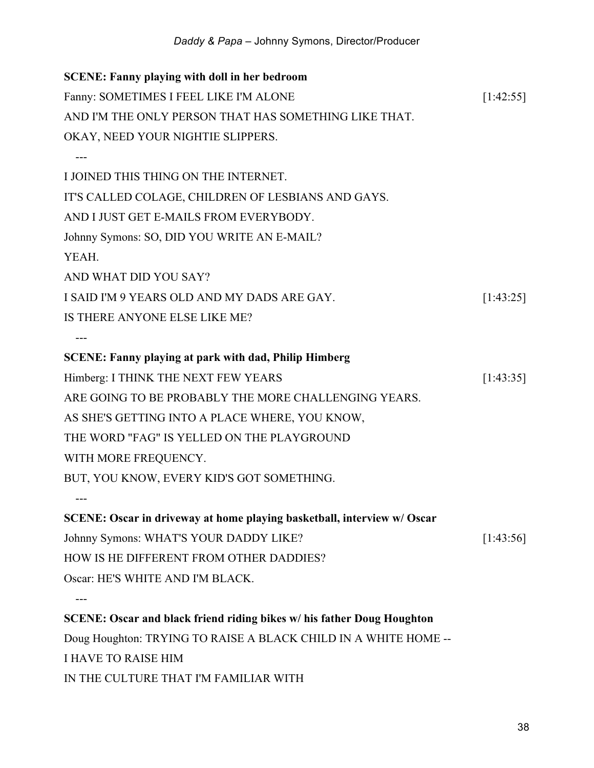| <b>SCENE: Fanny playing with doll in her bedroom</b>                    |           |
|-------------------------------------------------------------------------|-----------|
| Fanny: SOMETIMES I FEEL LIKE I'M ALONE                                  | [1:42:55] |
| AND I'M THE ONLY PERSON THAT HAS SOMETHING LIKE THAT.                   |           |
| OKAY, NEED YOUR NIGHTIE SLIPPERS.                                       |           |
|                                                                         |           |
| I JOINED THIS THING ON THE INTERNET.                                    |           |
| IT'S CALLED COLAGE, CHILDREN OF LESBIANS AND GAYS.                      |           |
| AND I JUST GET E-MAILS FROM EVERYBODY.                                  |           |
| Johnny Symons: SO, DID YOU WRITE AN E-MAIL?                             |           |
| YEAH.                                                                   |           |
| AND WHAT DID YOU SAY?                                                   |           |
| I SAID I'M 9 YEARS OLD AND MY DADS ARE GAY.                             | [1:43:25] |
| IS THERE ANYONE ELSE LIKE ME?                                           |           |
|                                                                         |           |
| <b>SCENE: Fanny playing at park with dad, Philip Himberg</b>            |           |
| Himberg: I THINK THE NEXT FEW YEARS                                     | [1:43:35] |
| ARE GOING TO BE PROBABLY THE MORE CHALLENGING YEARS.                    |           |
| AS SHE'S GETTING INTO A PLACE WHERE, YOU KNOW,                          |           |
| THE WORD "FAG" IS YELLED ON THE PLAYGROUND                              |           |
| WITH MORE FREQUENCY.                                                    |           |
| BUT, YOU KNOW, EVERY KID'S GOT SOMETHING.                               |           |
|                                                                         |           |
| SCENE: Oscar in driveway at home playing basketball, interview w/ Oscar |           |
| Johnny Symons: WHAT'S YOUR DADDY LIKE?                                  | [1:43:56] |
| HOW IS HE DIFFERENT FROM OTHER DADDIES?                                 |           |
| Oscar: HE'S WHITE AND I'M BLACK.                                        |           |
|                                                                         |           |

**SCENE: Oscar and black friend riding bikes w/ his father Doug Houghton** Doug Houghton: TRYING TO RAISE A BLACK CHILD IN A WHITE HOME -- I HAVE TO RAISE HIM IN THE CULTURE THAT I'M FAMILIAR WITH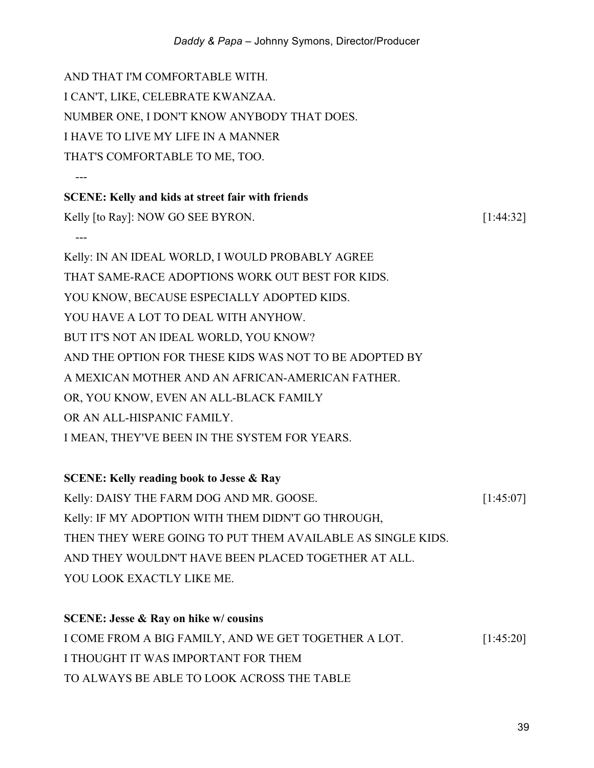| AND THAT I'M COMFORTABLE WITH.                           |           |
|----------------------------------------------------------|-----------|
| I CAN'T, LIKE, CELEBRATE KWANZAA.                        |           |
| NUMBER ONE, I DON'T KNOW ANYBODY THAT DOES.              |           |
| I HAVE TO LIVE MY LIFE IN A MANNER                       |           |
| THAT'S COMFORTABLE TO ME, TOO.                           |           |
|                                                          |           |
| <b>SCENE: Kelly and kids at street fair with friends</b> |           |
| Kelly [to Ray]: NOW GO SEE BYRON.                        | [1:44:32] |
|                                                          |           |
| Kelly: IN AN IDEAL WORLD, I WOULD PROBABLY AGREE         |           |
| THAT SAME-RACE ADOPTIONS WORK OUT BEST FOR KIDS.         |           |
| YOU KNOW, BECAUSE ESPECIALLY ADOPTED KIDS.               |           |
| YOU HAVE A LOT TO DEAL WITH ANYHOW.                      |           |
| BUT IT'S NOT AN IDEAL WORLD, YOU KNOW?                   |           |
| AND THE OPTION FOR THESE KIDS WAS NOT TO BE ADOPTED BY   |           |
| A MEXICAN MOTHER AND AN AFRICAN-AMERICAN FATHER.         |           |
| OR, YOU KNOW, EVEN AN ALL-BLACK FAMILY                   |           |
| OR AN ALL-HISPANIC FAMILY.                               |           |
| I MEAN, THEY'VE BEEN IN THE SYSTEM FOR YEARS.            |           |
| <b>SCENE: Kelly reading book to Jesse &amp; Ray</b>      |           |

# Kelly: DAISY THE FARM DOG AND MR. GOOSE. [1:45:07] Kelly: IF MY ADOPTION WITH THEM DIDN'T GO THROUGH, THEN THEY WERE GOING TO PUT THEM AVAILABLE AS SINGLE KIDS. AND THEY WOULDN'T HAVE BEEN PLACED TOGETHER AT ALL. YOU LOOK EXACTLY LIKE ME.

**SCENE: Jesse & Ray on hike w/ cousins** I COME FROM A BIG FAMILY, AND WE GET TOGETHER A LOT. [1:45:20] I THOUGHT IT WAS IMPORTANT FOR THEM TO ALWAYS BE ABLE TO LOOK ACROSS THE TABLE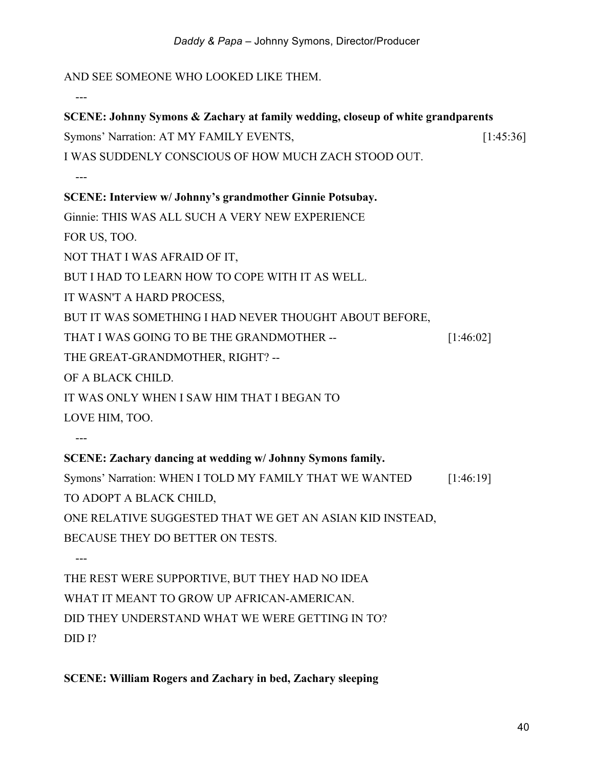## AND SEE SOMEONE WHO LOOKED LIKE THEM.

 --- **SCENE: Johnny Symons & Zachary at family wedding, closeup of white grandparents** Symons' Narration: AT MY FAMILY EVENTS, [1:45:36] I WAS SUDDENLY CONSCIOUS OF HOW MUCH ZACH STOOD OUT. --- **SCENE: Interview w/ Johnny's grandmother Ginnie Potsubay.** Ginnie: THIS WAS ALL SUCH A VERY NEW EXPERIENCE FOR US, TOO. NOT THAT I WAS AFRAID OF IT, BUT I HAD TO LEARN HOW TO COPE WITH IT AS WELL. IT WASN'T A HARD PROCESS, BUT IT WAS SOMETHING I HAD NEVER THOUGHT ABOUT BEFORE, THAT I WAS GOING TO BE THE GRANDMOTHER -- [1:46:02] THE GREAT-GRANDMOTHER, RIGHT? -- OF A BLACK CHILD. IT WAS ONLY WHEN I SAW HIM THAT I BEGAN TO LOVE HIM, TOO. --- **SCENE: Zachary dancing at wedding w/ Johnny Symons family.**

Symons' Narration: WHEN I TOLD MY FAMILY THAT WE WANTED [1:46:19] TO ADOPT A BLACK CHILD, ONE RELATIVE SUGGESTED THAT WE GET AN ASIAN KID INSTEAD, BECAUSE THEY DO BETTER ON TESTS.

THE REST WERE SUPPORTIVE, BUT THEY HAD NO IDEA WHAT IT MEANT TO GROW UP AFRICAN-AMERICAN. DID THEY UNDERSTAND WHAT WE WERE GETTING IN TO? DID<sub>I?</sub>

---

**SCENE: William Rogers and Zachary in bed, Zachary sleeping**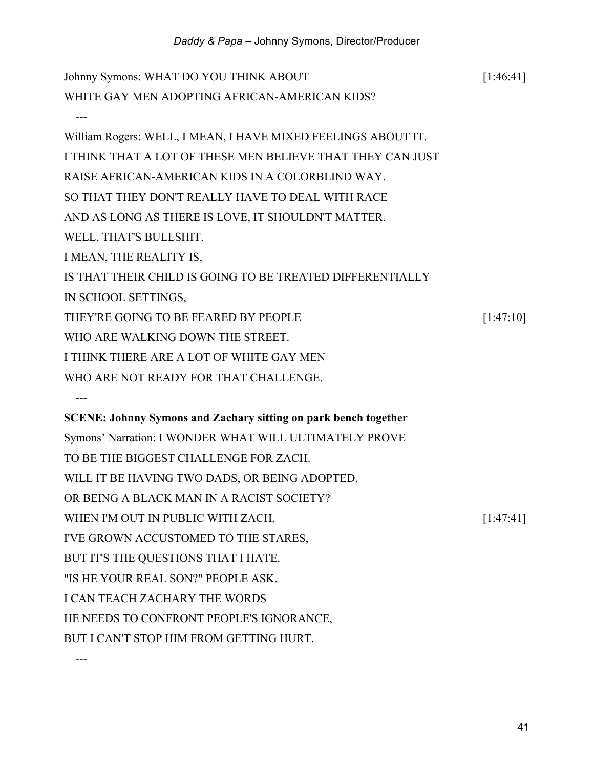| Johnny Symons: WHAT DO YOU THINK ABOUT                                 | [1:46:41] |
|------------------------------------------------------------------------|-----------|
| WHITE GAY MEN ADOPTING AFRICAN-AMERICAN KIDS?                          |           |
| ---                                                                    |           |
| William Rogers: WELL, I MEAN, I HAVE MIXED FEELINGS ABOUT IT.          |           |
| I THINK THAT A LOT OF THESE MEN BELIEVE THAT THEY CAN JUST             |           |
| RAISE AFRICAN-AMERICAN KIDS IN A COLORBLIND WAY.                       |           |
| SO THAT THEY DON'T REALLY HAVE TO DEAL WITH RACE                       |           |
| AND AS LONG AS THERE IS LOVE, IT SHOULDN'T MATTER.                     |           |
| WELL, THAT'S BULLSHIT.                                                 |           |
| I MEAN, THE REALITY IS,                                                |           |
| IS THAT THEIR CHILD IS GOING TO BE TREATED DIFFERENTIALLY              |           |
| IN SCHOOL SETTINGS,                                                    |           |
| THEY'RE GOING TO BE FEARED BY PEOPLE                                   | [1:47:10] |
| WHO ARE WALKING DOWN THE STREET.                                       |           |
| I THINK THERE ARE A LOT OF WHITE GAY MEN                               |           |
| WHO ARE NOT READY FOR THAT CHALLENGE.                                  |           |
|                                                                        |           |
| <b>SCENE: Johnny Symons and Zachary sitting on park bench together</b> |           |
| Symons' Narration: I WONDER WHAT WILL ULTIMATELY PROVE                 |           |
| TO BE THE BIGGEST CHALLENGE FOR ZACH.                                  |           |
| WILL IT BE HAVING TWO DADS, OR BEING ADOPTED,                          |           |
| OR BEING A BLACK MAN IN A RACIST SOCIETY?                              |           |
| WHEN I'M OUT IN PUBLIC WITH ZACH,                                      | [1:47:41] |
| I'VE GROWN ACCUSTOMED TO THE STARES,                                   |           |
| BUT IT'S THE QUESTIONS THAT I HATE.                                    |           |
| "IS HE YOUR REAL SON?" PEOPLE ASK.                                     |           |
| I CAN TEACH ZACHARY THE WORDS                                          |           |
| HE NEEDS TO CONFRONT PEOPLE'S IGNORANCE,                               |           |
| BUT I CAN'T STOP HIM FROM GETTING HURT.                                |           |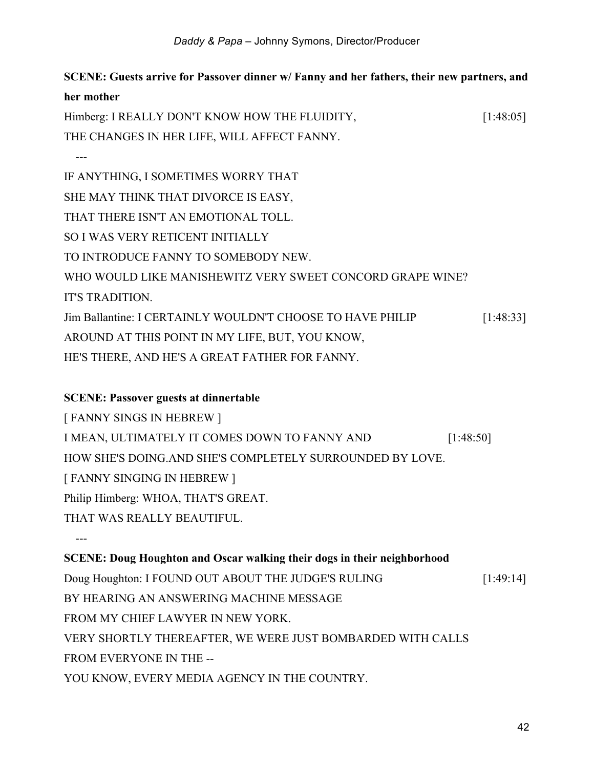**SCENE: Guests arrive for Passover dinner w/ Fanny and her fathers, their new partners, and her mother** Himberg: I REALLY DON'T KNOW HOW THE FLUIDITY, [1:48:05] THE CHANGES IN HER LIFE, WILL AFFECT FANNY. --- IF ANYTHING, I SOMETIMES WORRY THAT SHE MAY THINK THAT DIVORCE IS EASY, THAT THERE ISN'T AN EMOTIONAL TOLL. SO I WAS VERY RETICENT INITIALLY TO INTRODUCE FANNY TO SOMEBODY NEW. WHO WOULD LIKE MANISHEWITZ VERY SWEET CONCORD GRAPE WINE? IT'S TRADITION. Jim Ballantine: I CERTAINLY WOULDN'T CHOOSE TO HAVE PHILIP [1:48:33] AROUND AT THIS POINT IN MY LIFE, BUT, YOU KNOW, HE'S THERE, AND HE'S A GREAT FATHER FOR FANNY. **SCENE: Passover guests at dinnertable** [ FANNY SINGS IN HEBREW ] I MEAN, ULTIMATELY IT COMES DOWN TO FANNY AND [1:48:50] HOW SHE'S DOING.AND SHE'S COMPLETELY SURROUNDED BY LOVE. [ FANNY SINGING IN HEBREW ] Philip Himberg: WHOA, THAT'S GREAT. THAT WAS REALLY BEAUTIFUL. --- **SCENE: Doug Houghton and Oscar walking their dogs in their neighborhood** Doug Houghton: I FOUND OUT ABOUT THE JUDGE'S RULING [1:49:14] BY HEARING AN ANSWERING MACHINE MESSAGE FROM MY CHIEF LAWYER IN NEW YORK. VERY SHORTLY THEREAFTER, WE WERE JUST BOMBARDED WITH CALLS FROM EVERYONE IN THE --

YOU KNOW, EVERY MEDIA AGENCY IN THE COUNTRY.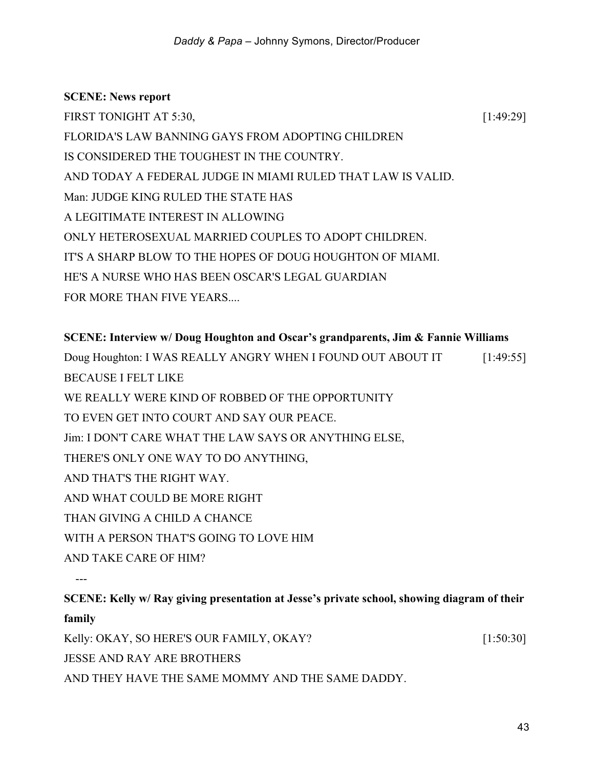## **SCENE: News report**

FIRST TONIGHT AT 5:30, [1:49:29] FLORIDA'S LAW BANNING GAYS FROM ADOPTING CHILDREN IS CONSIDERED THE TOUGHEST IN THE COUNTRY. AND TODAY A FEDERAL JUDGE IN MIAMI RULED THAT LAW IS VALID. Man: JUDGE KING RULED THE STATE HAS A LEGITIMATE INTEREST IN ALLOWING ONLY HETEROSEXUAL MARRIED COUPLES TO ADOPT CHILDREN. IT'S A SHARP BLOW TO THE HOPES OF DOUG HOUGHTON OF MIAMI. HE'S A NURSE WHO HAS BEEN OSCAR'S LEGAL GUARDIAN FOR MORE THAN FIVE YEARS....

# **SCENE: Interview w/ Doug Houghton and Oscar's grandparents, Jim & Fannie Williams** Doug Houghton: I WAS REALLY ANGRY WHEN I FOUND OUT ABOUT IT [1:49:55] BECAUSE I FELT LIKE WE REALLY WERE KIND OF ROBBED OF THE OPPORTUNITY TO EVEN GET INTO COURT AND SAY OUR PEACE. Jim: I DON'T CARE WHAT THE LAW SAYS OR ANYTHING ELSE, THERE'S ONLY ONE WAY TO DO ANYTHING, AND THAT'S THE RIGHT WAY. AND WHAT COULD BE MORE RIGHT THAN GIVING A CHILD A CHANCE WITH A PERSON THAT'S GOING TO LOVE HIM AND TAKE CARE OF HIM?

---

**SCENE: Kelly w/ Ray giving presentation at Jesse's private school, showing diagram of their family** Kelly: OKAY, SO HERE'S OUR FAMILY, OKAY? [1:50:30] JESSE AND RAY ARE BROTHERS

AND THEY HAVE THE SAME MOMMY AND THE SAME DADDY.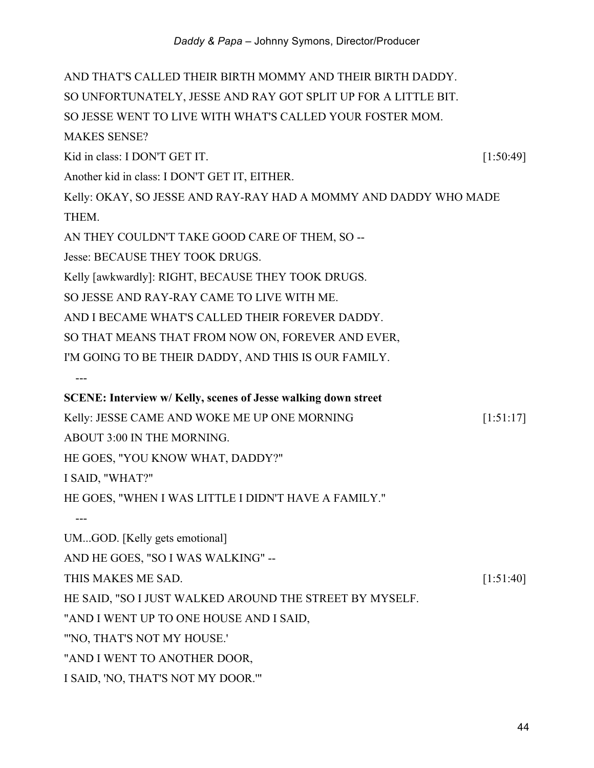| AND THAT'S CALLED THEIR BIRTH MOMMY AND THEIR BIRTH DADDY.       |           |
|------------------------------------------------------------------|-----------|
| SO UNFORTUNATELY, JESSE AND RAY GOT SPLIT UP FOR A LITTLE BIT.   |           |
| SO JESSE WENT TO LIVE WITH WHAT'S CALLED YOUR FOSTER MOM.        |           |
| <b>MAKES SENSE?</b>                                              |           |
| Kid in class: I DON'T GET IT.                                    | [1:50:49] |
| Another kid in class: I DON'T GET IT, EITHER.                    |           |
| Kelly: OKAY, SO JESSE AND RAY-RAY HAD A MOMMY AND DADDY WHO MADE |           |
| THEM.                                                            |           |
| AN THEY COULDN'T TAKE GOOD CARE OF THEM, SO --                   |           |
| Jesse: BECAUSE THEY TOOK DRUGS.                                  |           |
| Kelly [awkwardly]: RIGHT, BECAUSE THEY TOOK DRUGS.               |           |
| SO JESSE AND RAY-RAY CAME TO LIVE WITH ME.                       |           |
| AND I BECAME WHAT'S CALLED THEIR FOREVER DADDY.                  |           |
| SO THAT MEANS THAT FROM NOW ON, FOREVER AND EVER,                |           |
| I'M GOING TO BE THEIR DADDY, AND THIS IS OUR FAMILY.             |           |
|                                                                  |           |
| SCENE: Interview w/ Kelly, scenes of Jesse walking down street   |           |
| Kelly: JESSE CAME AND WOKE ME UP ONE MORNING                     | [1:51:17] |
| ABOUT 3:00 IN THE MORNING.                                       |           |
| HE GOES, "YOU KNOW WHAT, DADDY?"                                 |           |
| I SAID, "WHAT?"                                                  |           |
| HE GOES, "WHEN I WAS LITTLE I DIDN'T HAVE A FAMILY."             |           |
|                                                                  |           |
| UMGOD. [Kelly gets emotional]                                    |           |
| AND HE GOES, "SO I WAS WALKING" --                               |           |
| THIS MAKES ME SAD.                                               | [1:51:40] |
| HE SAID, "SO I JUST WALKED AROUND THE STREET BY MYSELF.          |           |
| "AND I WENT UP TO ONE HOUSE AND I SAID,                          |           |
| "NO, THAT'S NOT MY HOUSE."                                       |           |
| "AND I WENT TO ANOTHER DOOR,                                     |           |
| I SAID, 'NO, THAT'S NOT MY DOOR.""                               |           |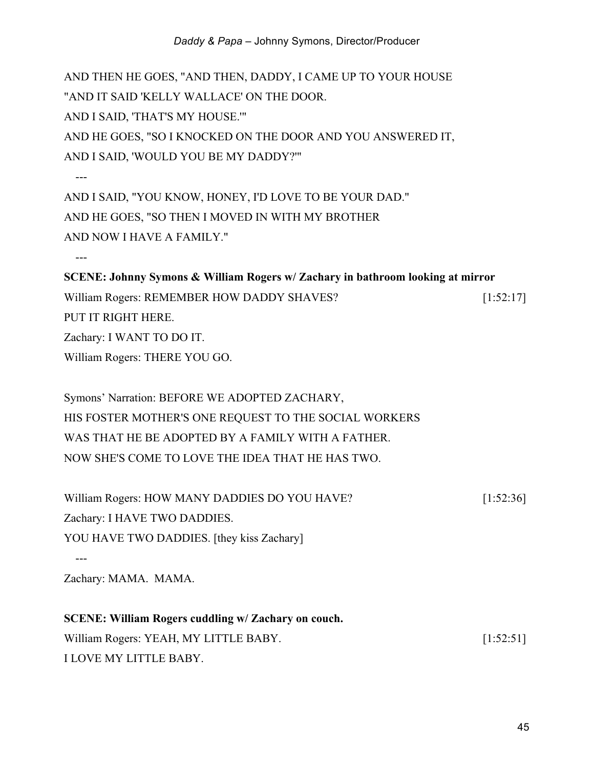AND THEN HE GOES, "AND THEN, DADDY, I CAME UP TO YOUR HOUSE "AND IT SAID 'KELLY WALLACE' ON THE DOOR. AND I SAID, 'THAT'S MY HOUSE.'" AND HE GOES, "SO I KNOCKED ON THE DOOR AND YOU ANSWERED IT, AND I SAID, 'WOULD YOU BE MY DADDY?'" --- AND I SAID, "YOU KNOW, HONEY, I'D LOVE TO BE YOUR DAD." AND HE GOES, "SO THEN I MOVED IN WITH MY BROTHER AND NOW I HAVE A FAMILY." --- **SCENE: Johnny Symons & William Rogers w/ Zachary in bathroom looking at mirror** William Rogers: REMEMBER HOW DADDY SHAVES? [1:52:17] PUT IT RIGHT HERE. Zachary: I WANT TO DO IT. William Rogers: THERE YOU GO. Symons' Narration: BEFORE WE ADOPTED ZACHARY, HIS FOSTER MOTHER'S ONE REQUEST TO THE SOCIAL WORKERS WAS THAT HE BE ADOPTED BY A FAMILY WITH A FATHER. NOW SHE'S COME TO LOVE THE IDEA THAT HE HAS TWO. William Rogers: HOW MANY DADDIES DO YOU HAVE? [1:52:36] Zachary: I HAVE TWO DADDIES. YOU HAVE TWO DADDIES. [they kiss Zachary] --- Zachary: MAMA. MAMA. **SCENE: William Rogers cuddling w/ Zachary on couch.** William Rogers: YEAH, MY LITTLE BABY. [1:52:51]

I LOVE MY LITTLE BABY.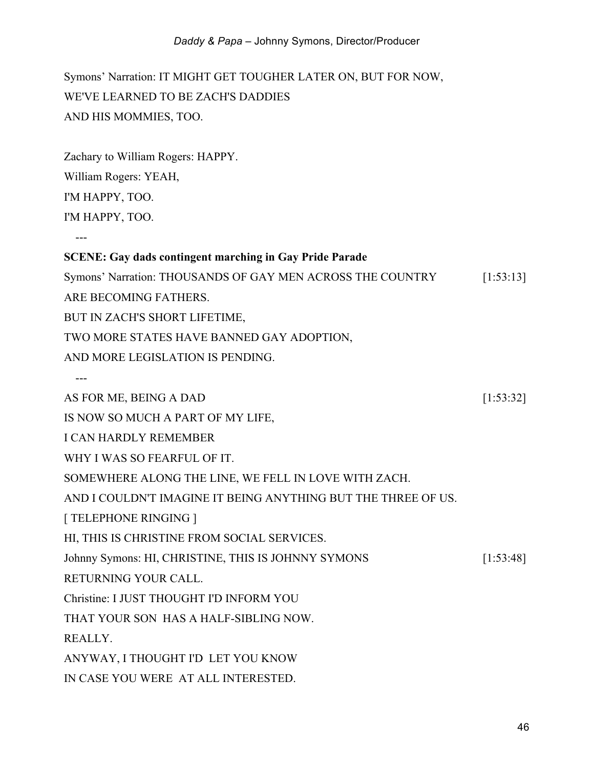Symons' Narration: IT MIGHT GET TOUGHER LATER ON, BUT FOR NOW, WE'VE LEARNED TO BE ZACH'S DADDIES AND HIS MOMMIES, TOO.

Zachary to William Rogers: HAPPY. William Rogers: YEAH, I'M HAPPY, TOO. I'M HAPPY, TOO.

---

**SCENE: Gay dads contingent marching in Gay Pride Parade** Symons' Narration: THOUSANDS OF GAY MEN ACROSS THE COUNTRY [1:53:13] ARE BECOMING FATHERS. BUT IN ZACH'S SHORT LIFETIME, TWO MORE STATES HAVE BANNED GAY ADOPTION, AND MORE LEGISLATION IS PENDING. --- AS FOR ME, BEING A DAD [1:53:32] IS NOW SO MUCH A PART OF MY LIFE, I CAN HARDLY REMEMBER WHY I WAS SO FEARFUL OF IT. SOMEWHERE ALONG THE LINE, WE FELL IN LOVE WITH ZACH. AND I COULDN'T IMAGINE IT BEING ANYTHING BUT THE THREE OF US. [ TELEPHONE RINGING ] HI, THIS IS CHRISTINE FROM SOCIAL SERVICES. Johnny Symons: HI, CHRISTINE, THIS IS JOHNNY SYMONS [1:53:48] RETURNING YOUR CALL. Christine: I JUST THOUGHT I'D INFORM YOU THAT YOUR SON HAS A HALF-SIBLING NOW. REALLY. ANYWAY, I THOUGHT I'D LET YOU KNOW IN CASE YOU WERE AT ALL INTERESTED.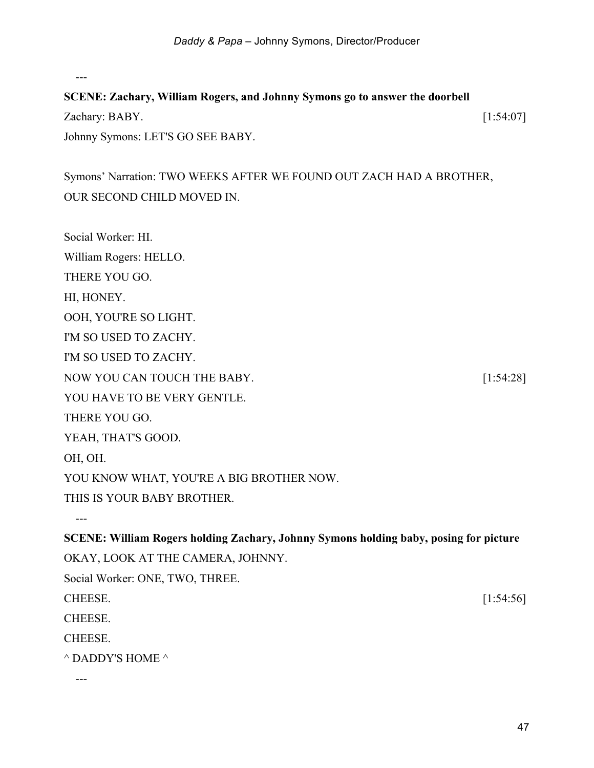---

**SCENE: Zachary, William Rogers, and Johnny Symons go to answer the doorbell** Zachary: BABY. [1:54:07] Johnny Symons: LET'S GO SEE BABY.

Symons' Narration: TWO WEEKS AFTER WE FOUND OUT ZACH HAD A BROTHER, OUR SECOND CHILD MOVED IN.

| Social Worker: HI.                                                                           |           |
|----------------------------------------------------------------------------------------------|-----------|
| William Rogers: HELLO.                                                                       |           |
| THERE YOU GO.                                                                                |           |
| HI, HONEY.                                                                                   |           |
| OOH, YOU'RE SO LIGHT.                                                                        |           |
| I'M SO USED TO ZACHY.                                                                        |           |
| I'M SO USED TO ZACHY.                                                                        |           |
| NOW YOU CAN TOUCH THE BABY.                                                                  | [1:54:28] |
| YOU HAVE TO BE VERY GENTLE.                                                                  |           |
| THERE YOU GO.                                                                                |           |
| YEAH, THAT'S GOOD.                                                                           |           |
| OH, OH.                                                                                      |           |
| YOU KNOW WHAT, YOU'RE A BIG BROTHER NOW.                                                     |           |
| THIS IS YOUR BABY BROTHER.                                                                   |           |
|                                                                                              |           |
| <b>SCENE: William Rogers holding Zachary, Johnny Symons holding baby, posing for picture</b> |           |
| OKAY, LOOK AT THE CAMERA, JOHNNY.                                                            |           |
| Social Worker: ONE, TWO, THREE.                                                              |           |
| CHEESE.                                                                                      | [1:54:56] |
| <b>CHEESE.</b>                                                                               |           |
|                                                                                              |           |

CHEESE.

 $^\wedge$  DADDY'S HOME  $^\wedge$ 

---